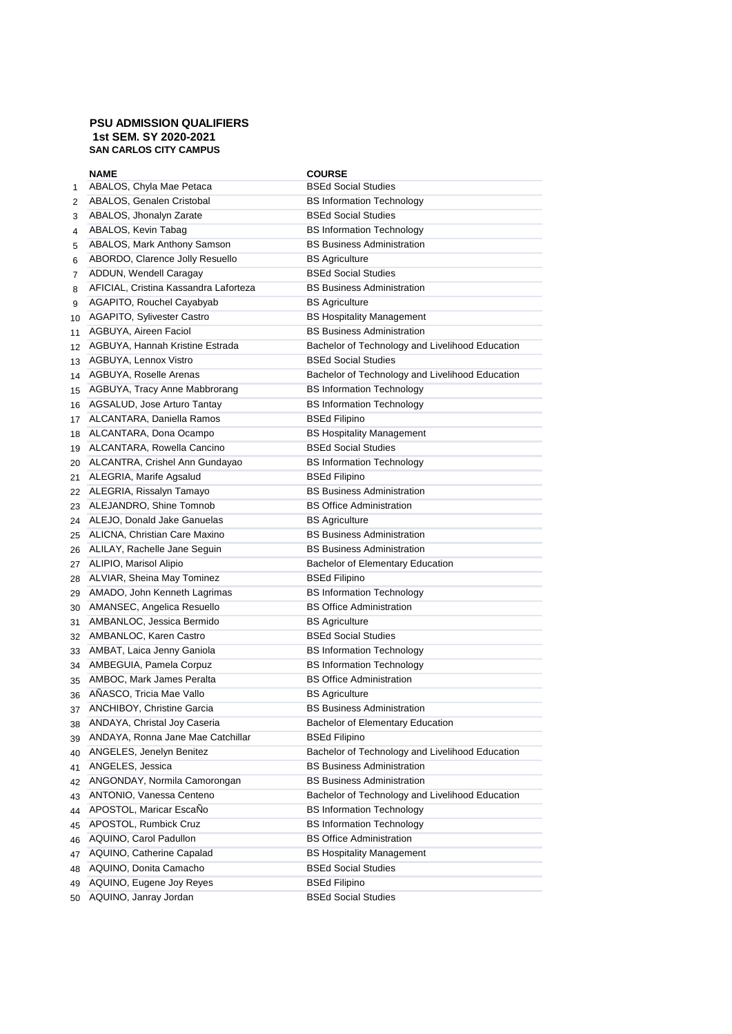## **PSU ADMISSION QUALIFIERS 1st SEM. SY 2020-2021 SAN CARLOS CITY CAMPUS**

|    | <b>NAME</b>                           | <b>COURSE</b>                                   |
|----|---------------------------------------|-------------------------------------------------|
| 1  | ABALOS, Chyla Mae Petaca              | <b>BSEd Social Studies</b>                      |
| 2  | ABALOS, Genalen Cristobal             | <b>BS Information Technology</b>                |
| 3  | ABALOS, Jhonalyn Zarate               | <b>BSEd Social Studies</b>                      |
| 4  | ABALOS, Kevin Tabag                   | <b>BS Information Technology</b>                |
| 5  | ABALOS, Mark Anthony Samson           | <b>BS Business Administration</b>               |
| 6  | ABORDO, Clarence Jolly Resuello       | <b>BS Agriculture</b>                           |
| 7  | ADDUN, Wendell Caragay                | <b>BSEd Social Studies</b>                      |
| 8  | AFICIAL, Cristina Kassandra Laforteza | <b>BS Business Administration</b>               |
| 9  | AGAPITO, Rouchel Cayabyab             | <b>BS Agriculture</b>                           |
| 10 | <b>AGAPITO, Sylivester Castro</b>     | <b>BS Hospitality Management</b>                |
| 11 | AGBUYA, Aireen Faciol                 | <b>BS Business Administration</b>               |
| 12 | AGBUYA, Hannah Kristine Estrada       | Bachelor of Technology and Livelihood Education |
| 13 | AGBUYA, Lennox Vistro                 | <b>BSEd Social Studies</b>                      |
| 14 | AGBUYA, Roselle Arenas                | Bachelor of Technology and Livelihood Education |
| 15 | AGBUYA, Tracy Anne Mabbrorang         | <b>BS Information Technology</b>                |
| 16 | AGSALUD, Jose Arturo Tantay           | <b>BS Information Technology</b>                |
| 17 | ALCANTARA, Daniella Ramos             | <b>BSEd Filipino</b>                            |
| 18 | ALCANTARA, Dona Ocampo                | <b>BS Hospitality Management</b>                |
| 19 | ALCANTARA, Rowella Cancino            | <b>BSEd Social Studies</b>                      |
| 20 | ALCANTRA, Crishel Ann Gundayao        | <b>BS Information Technology</b>                |
| 21 | ALEGRIA, Marife Agsalud               | <b>BSEd Filipino</b>                            |
| 22 | ALEGRIA, Rissalyn Tamayo              | <b>BS Business Administration</b>               |
| 23 | ALEJANDRO, Shine Tomnob               | <b>BS Office Administration</b>                 |
| 24 | ALEJO, Donald Jake Ganuelas           | <b>BS Agriculture</b>                           |
| 25 | ALICNA, Christian Care Maxino         | <b>BS Business Administration</b>               |
| 26 | ALILAY, Rachelle Jane Seguin          | <b>BS Business Administration</b>               |
| 27 | ALIPIO, Marisol Alipio                | Bachelor of Elementary Education                |
| 28 | ALVIAR, Sheina May Tominez            | BSEd Filipino                                   |
| 29 | AMADO, John Kenneth Lagrimas          | <b>BS Information Technology</b>                |
| 30 | AMANSEC, Angelica Resuello            | <b>BS Office Administration</b>                 |
| 31 | AMBANLOC, Jessica Bermido             | <b>BS Agriculture</b>                           |
| 32 | AMBANLOC, Karen Castro                | <b>BSEd Social Studies</b>                      |
| 33 | AMBAT, Laica Jenny Ganiola            | <b>BS Information Technology</b>                |
| 34 | AMBEGUIA, Pamela Corpuz               | <b>BS Information Technology</b>                |
| 35 | AMBOC, Mark James Peralta             | <b>BS Office Administration</b>                 |
| 36 | ANASCO, Tricia Mae Vallo              | <b>BS Agriculture</b>                           |
|    | 37 ANCHIBOY, Christine Garcia         | <b>BS Business Administration</b>               |
| 38 | ANDAYA, Christal Joy Caseria          | <b>Bachelor of Elementary Education</b>         |
| 39 | ANDAYA, Ronna Jane Mae Catchillar     | <b>BSEd Filipino</b>                            |
| 40 | ANGELES, Jenelyn Benitez              | Bachelor of Technology and Livelihood Education |
| 41 | ANGELES, Jessica                      | <b>BS Business Administration</b>               |
| 42 | ANGONDAY, Normila Camorongan          | <b>BS Business Administration</b>               |
| 43 | ANTONIO, Vanessa Centeno              | Bachelor of Technology and Livelihood Education |
| 44 | APOSTOL, Maricar EscaNo               | <b>BS Information Technology</b>                |
| 45 | APOSTOL, Rumbick Cruz                 | <b>BS Information Technology</b>                |
| 46 | AQUINO, Carol Padullon                | <b>BS Office Administration</b>                 |
| 47 | AQUINO, Catherine Capalad             | <b>BS Hospitality Management</b>                |
| 48 | AQUINO, Donita Camacho                | <b>BSEd Social Studies</b>                      |
| 49 | AQUINO, Eugene Joy Reyes              | <b>BSEd Filipino</b>                            |
| 50 | AQUINO, Janray Jordan                 | <b>BSEd Social Studies</b>                      |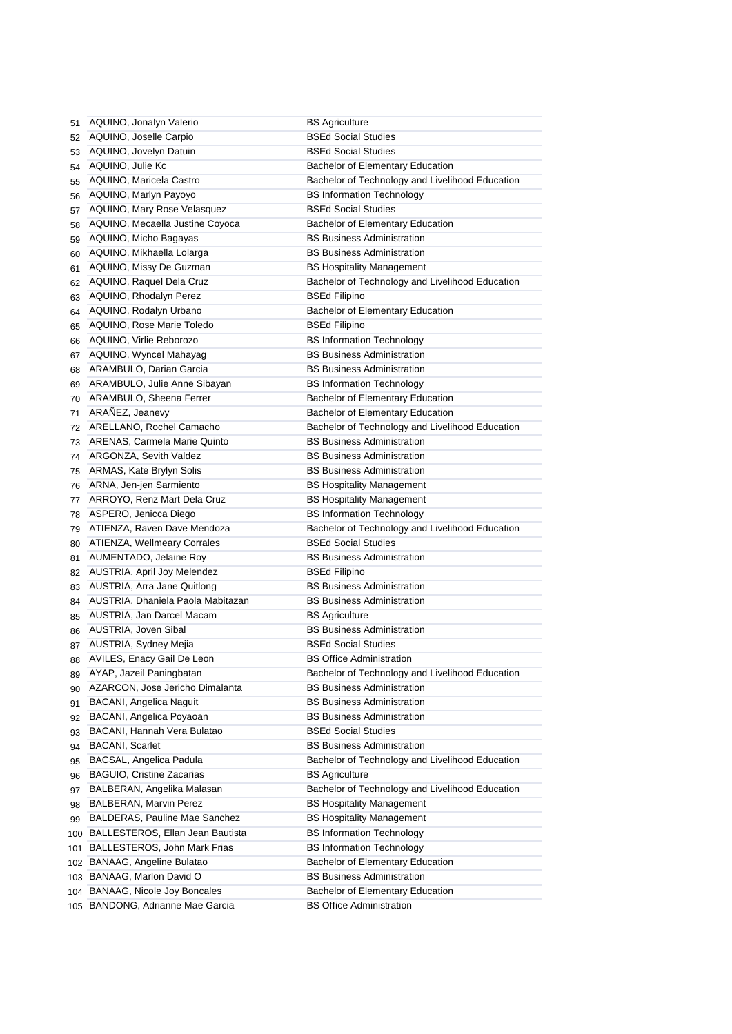| 51  | AQUINO, Jonalyn Valerio              | <b>BS Agriculture</b>                           |
|-----|--------------------------------------|-------------------------------------------------|
| 52  | AQUINO, Joselle Carpio               | <b>BSEd Social Studies</b>                      |
| 53  | AQUINO, Jovelyn Datuin               | <b>BSEd Social Studies</b>                      |
| 54  | AQUINO, Julie Kc                     | Bachelor of Elementary Education                |
| 55  | AQUINO, Maricela Castro              | Bachelor of Technology and Livelihood Education |
| 56  | AQUINO, Marlyn Payoyo                | <b>BS Information Technology</b>                |
| 57  | AQUINO, Mary Rose Velasquez          | <b>BSEd Social Studies</b>                      |
| 58  | AQUINO, Mecaella Justine Coyoca      | <b>Bachelor of Elementary Education</b>         |
| 59  | AQUINO, Micho Bagayas                | <b>BS Business Administration</b>               |
| 60  | AQUINO, Mikhaella Lolarga            | <b>BS Business Administration</b>               |
| 61  | AQUINO, Missy De Guzman              | <b>BS Hospitality Management</b>                |
| 62  | AQUINO, Raquel Dela Cruz             | Bachelor of Technology and Livelihood Education |
| 63  | AQUINO, Rhodalyn Perez               | <b>BSEd Filipino</b>                            |
| 64  | AQUINO, Rodalyn Urbano               | Bachelor of Elementary Education                |
| 65  | AQUINO, Rose Marie Toledo            | <b>BSEd Filipino</b>                            |
| 66  | AQUINO, Virlie Reborozo              | <b>BS Information Technology</b>                |
| 67  | AQUINO, Wyncel Mahayag               | <b>BS Business Administration</b>               |
| 68  | ARAMBULO, Darian Garcia              | <b>BS Business Administration</b>               |
| 69  | ARAMBULO, Julie Anne Sibayan         | <b>BS Information Technology</b>                |
| 70  | ARAMBULO, Sheena Ferrer              | Bachelor of Elementary Education                |
| 71  | ARAÑEZ, Jeanevy                      | <b>Bachelor of Elementary Education</b>         |
| 72  | ARELLANO, Rochel Camacho             | Bachelor of Technology and Livelihood Education |
| 73  | ARENAS, Carmela Marie Quinto         | <b>BS Business Administration</b>               |
| 74  | ARGONZA, Sevith Valdez               | <b>BS Business Administration</b>               |
| 75  | ARMAS, Kate Brylyn Solis             | <b>BS Business Administration</b>               |
| 76  | ARNA, Jen-jen Sarmiento              | <b>BS Hospitality Management</b>                |
| 77  | ARROYO, Renz Mart Dela Cruz          | <b>BS Hospitality Management</b>                |
| 78  | ASPERO, Jenicca Diego                | <b>BS Information Technology</b>                |
| 79  | ATIENZA, Raven Dave Mendoza          | Bachelor of Technology and Livelihood Education |
| 80  | <b>ATIENZA, Wellmeary Corrales</b>   | <b>BSEd Social Studies</b>                      |
| 81  | AUMENTADO, Jelaine Roy               | <b>BS Business Administration</b>               |
| 82  | AUSTRIA, April Joy Melendez          | <b>BSEd Filipino</b>                            |
| 83  | AUSTRIA, Arra Jane Quitlong          | <b>BS Business Administration</b>               |
| 84  | AUSTRIA, Dhaniela Paola Mabitazan    | <b>BS Business Administration</b>               |
| 85  | AUSTRIA, Jan Darcel Macam            | <b>BS Agriculture</b>                           |
| 86  | AUSTRIA, Joven Sibal                 | <b>BS Business Administration</b>               |
| 87  | AUSTRIA, Sydney Mejia                | <b>BSEd Social Studies</b>                      |
| 88  | AVILES, Enacy Gail De Leon           | <b>BS Office Administration</b>                 |
| 89  | AYAP, Jazeil Paningbatan             | Bachelor of Technology and Livelihood Education |
| 90  | AZARCON, Jose Jericho Dimalanta      | <b>BS Business Administration</b>               |
| 91  | BACANI, Angelica Naguit              | <b>BS Business Administration</b>               |
|     | BACANI, Angelica Poyaoan             | <b>BS Business Administration</b>               |
| 92  | BACANI, Hannah Vera Bulatao          | <b>BSEd Social Studies</b>                      |
| 93  | <b>BACANI, Scarlet</b>               | <b>BS Business Administration</b>               |
| 94  | BACSAL, Angelica Padula              | Bachelor of Technology and Livelihood Education |
| 95  | <b>BAGUIO, Cristine Zacarias</b>     | <b>BS Agriculture</b>                           |
| 96  |                                      | Bachelor of Technology and Livelihood Education |
| 97  | BALBERAN, Angelika Malasan           |                                                 |
| 98  | <b>BALBERAN, Marvin Perez</b>        | <b>BS Hospitality Management</b>                |
| 99  | BALDERAS, Pauline Mae Sanchez        | <b>BS Hospitality Management</b>                |
|     | 100 BALLESTEROS, Ellan Jean Bautista | <b>BS Information Technology</b>                |
| 101 | BALLESTEROS, John Mark Frias         | <b>BS Information Technology</b>                |
| 102 | BANAAG, Angeline Bulatao             | Bachelor of Elementary Education                |
|     | 103 BANAAG, Marlon David O           | <b>BS Business Administration</b>               |
|     | 104 BANAAG, Nicole Joy Boncales      | Bachelor of Elementary Education                |
|     | 105 BANDONG, Adrianne Mae Garcia     | <b>BS Office Administration</b>                 |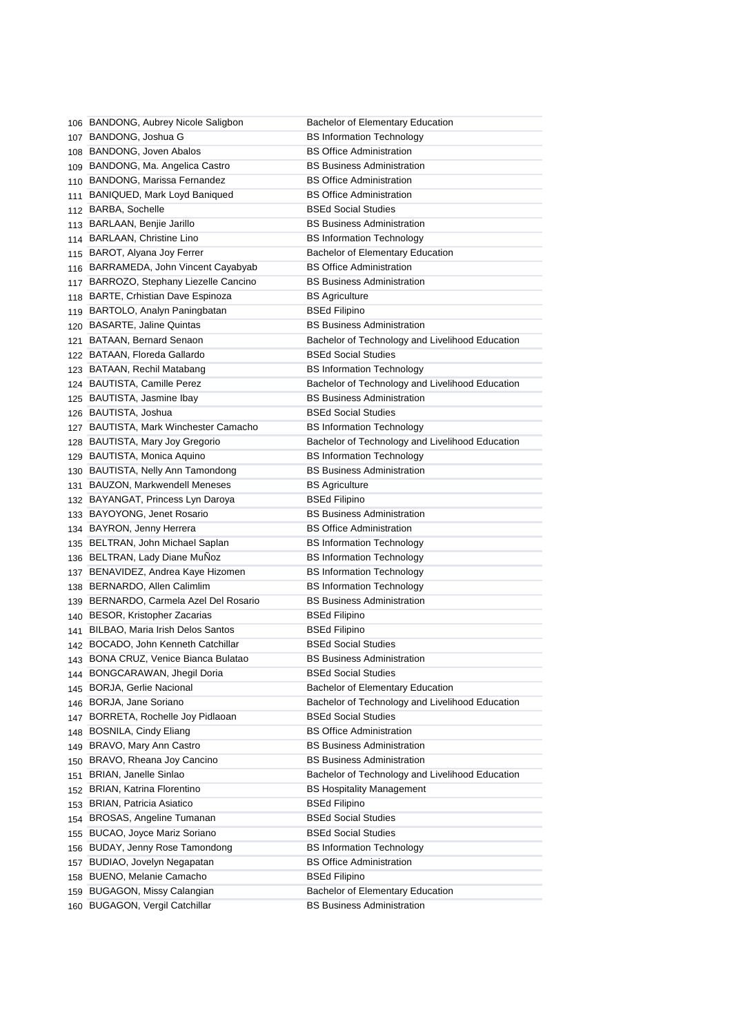|     | 106 BANDONG, Aubrey Nicole Saligbon    | Bachelor of Elementary Education                |
|-----|----------------------------------------|-------------------------------------------------|
|     | 107 BANDONG, Joshua G                  | <b>BS Information Technology</b>                |
|     | 108 BANDONG, Joven Abalos              | <b>BS Office Administration</b>                 |
|     | 109 BANDONG, Ma. Angelica Castro       | <b>BS Business Administration</b>               |
|     | 110 BANDONG, Marissa Fernandez         | <b>BS Office Administration</b>                 |
| 111 | BANIQUED, Mark Loyd Baniqued           | <b>BS Office Administration</b>                 |
|     | 112 BARBA, Sochelle                    | <b>BSEd Social Studies</b>                      |
|     | 113 BARLAAN, Benjie Jarillo            | <b>BS Business Administration</b>               |
|     | 114 BARLAAN, Christine Lino            | <b>BS Information Technology</b>                |
|     | 115 BAROT, Alyana Joy Ferrer           | <b>Bachelor of Elementary Education</b>         |
|     | 116 BARRAMEDA, John Vincent Cayabyab   | <b>BS Office Administration</b>                 |
|     | 117 BARROZO, Stephany Liezelle Cancino | <b>BS Business Administration</b>               |
|     | 118 BARTE, Crhistian Dave Espinoza     | <b>BS Agriculture</b>                           |
|     | 119 BARTOLO, Analyn Paningbatan        | <b>BSEd Filipino</b>                            |
|     | 120 BASARTE, Jaline Quintas            | <b>BS Business Administration</b>               |
|     | 121 BATAAN, Bernard Senaon             | Bachelor of Technology and Livelihood Education |
|     | 122 BATAAN, Floreda Gallardo           | <b>BSEd Social Studies</b>                      |
|     | 123 BATAAN, Rechil Matabang            | <b>BS Information Technology</b>                |
|     | 124 BAUTISTA, Camille Perez            | Bachelor of Technology and Livelihood Education |
|     | 125 BAUTISTA, Jasmine Ibay             | <b>BS Business Administration</b>               |
|     | 126 BAUTISTA, Joshua                   | <b>BSEd Social Studies</b>                      |
|     | 127 BAUTISTA, Mark Winchester Camacho  | <b>BS Information Technology</b>                |
|     | 128 BAUTISTA, Mary Joy Gregorio        | Bachelor of Technology and Livelihood Education |
|     | 129 BAUTISTA, Monica Aquino            | <b>BS Information Technology</b>                |
|     | 130 BAUTISTA, Nelly Ann Tamondong      | <b>BS Business Administration</b>               |
|     | 131 BAUZON, Markwendell Meneses        | <b>BS Agriculture</b>                           |
|     | 132 BAYANGAT, Princess Lyn Daroya      | <b>BSEd Filipino</b>                            |
|     | 133 BAYOYONG, Jenet Rosario            | <b>BS Business Administration</b>               |
|     | 134 BAYRON, Jenny Herrera              | <b>BS Office Administration</b>                 |
|     | 135 BELTRAN, John Michael Saplan       | <b>BS Information Technology</b>                |
|     | 136 BELTRAN, Lady Diane MuÑoz          | <b>BS Information Technology</b>                |
|     | 137 BENAVIDEZ, Andrea Kaye Hizomen     | <b>BS Information Technology</b>                |
|     | 138 BERNARDO, Allen Calimlim           | <b>BS Information Technology</b>                |
|     | 139 BERNARDO, Carmela Azel Del Rosario | <b>BS Business Administration</b>               |
|     | 140 BESOR, Kristopher Zacarias         | <b>BSEd Filipino</b>                            |
|     | 141 BILBAO, Maria Irish Delos Santos   | <b>BSEd Filipino</b>                            |
|     | 142 BOCADO, John Kenneth Catchillar    | <b>BSEd Social Studies</b>                      |
|     | 143 BONA CRUZ, Venice Bianca Bulatao   | <b>BS Business Administration</b>               |
|     | 144 BONGCARAWAN, Jhegil Doria          | <b>BSEd Social Studies</b>                      |
|     | 145 BORJA, Gerlie Nacional             | Bachelor of Elementary Education                |
|     | 146 BORJA, Jane Soriano                | Bachelor of Technology and Livelihood Education |
|     | 147 BORRETA, Rochelle Joy Pidlaoan     | <b>BSEd Social Studies</b>                      |
|     | 148 BOSNILA, Cindy Eliang              | <b>BS Office Administration</b>                 |
|     | 149 BRAVO, Mary Ann Castro             | <b>BS Business Administration</b>               |
|     | 150 BRAVO, Rheana Joy Cancino          | <b>BS Business Administration</b>               |
| 151 | BRIAN, Janelle Sinlao                  | Bachelor of Technology and Livelihood Education |
|     | 152 BRIAN, Katrina Florentino          | <b>BS Hospitality Management</b>                |
| 153 | <b>BRIAN, Patricia Asiatico</b>        | <b>BSEd Filipino</b>                            |
|     | 154 BROSAS, Angeline Tumanan           | <b>BSEd Social Studies</b>                      |
|     | 155 BUCAO, Joyce Mariz Soriano         | <b>BSEd Social Studies</b>                      |
|     | 156 BUDAY, Jenny Rose Tamondong        | <b>BS Information Technology</b>                |
| 157 | BUDIAO, Jovelyn Negapatan              | <b>BS Office Administration</b>                 |
|     | 158 BUENO, Melanie Camacho             | <b>BSEd Filipino</b>                            |
|     | 159 BUGAGON, Missy Calangian           | Bachelor of Elementary Education                |
|     | 160 BUGAGON, Vergil Catchillar         | <b>BS Business Administration</b>               |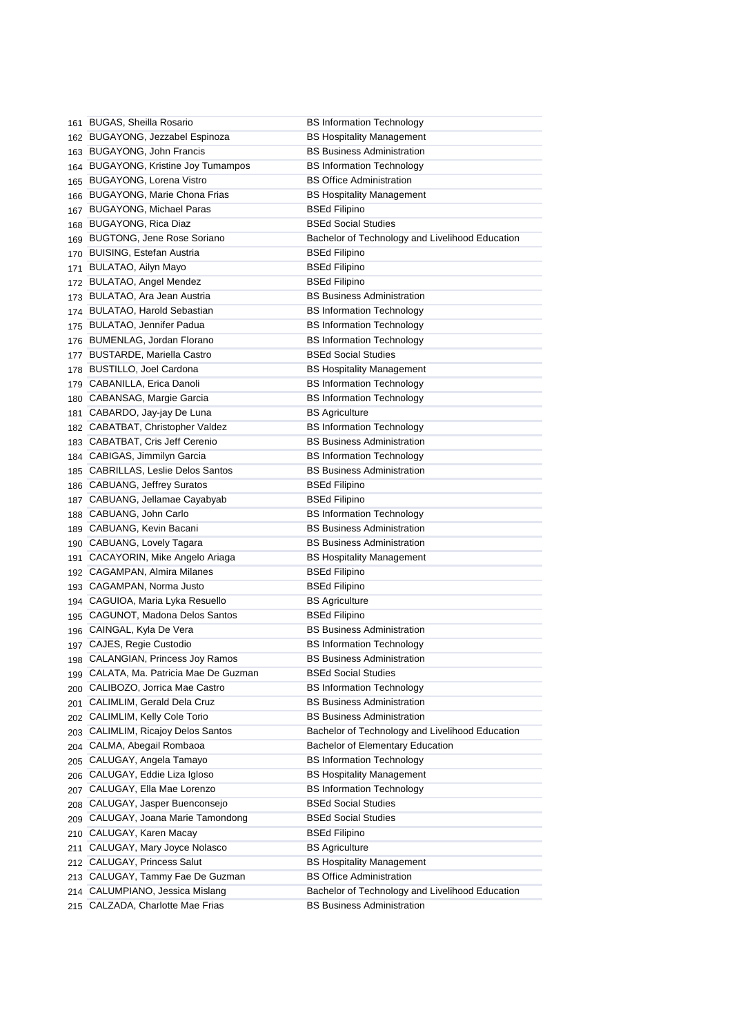|     | 161 BUGAS, Sheilla Rosario             | <b>BS Information Technology</b>                |
|-----|----------------------------------------|-------------------------------------------------|
|     | 162 BUGAYONG, Jezzabel Espinoza        | <b>BS Hospitality Management</b>                |
|     | 163 BUGAYONG, John Francis             | <b>BS Business Administration</b>               |
|     | 164 BUGAYONG, Kristine Joy Tumampos    | <b>BS Information Technology</b>                |
| 165 | <b>BUGAYONG, Lorena Vistro</b>         | <b>BS Office Administration</b>                 |
|     | 166 BUGAYONG, Marie Chona Frias        | <b>BS Hospitality Management</b>                |
|     | 167 BUGAYONG, Michael Paras            | <b>BSEd Filipino</b>                            |
|     | 168 BUGAYONG, Rica Diaz                | <b>BSEd Social Studies</b>                      |
|     | 169 BUGTONG, Jene Rose Soriano         | Bachelor of Technology and Livelihood Education |
| 170 | <b>BUISING, Estefan Austria</b>        | BSEd Filipino                                   |
| 171 | BULATAO, Ailyn Mayo                    | <b>BSEd Filipino</b>                            |
| 172 | BULATAO, Angel Mendez                  | <b>BSEd Filipino</b>                            |
| 173 | BULATAO, Ara Jean Austria              | <b>BS Business Administration</b>               |
| 174 | <b>BULATAO, Harold Sebastian</b>       | <b>BS Information Technology</b>                |
|     | 175 BULATAO, Jennifer Padua            | <b>BS Information Technology</b>                |
|     | 176 BUMENLAG, Jordan Florano           | <b>BS Information Technology</b>                |
|     | 177 BUSTARDE, Mariella Castro          | <b>BSEd Social Studies</b>                      |
|     | 178 BUSTILLO, Joel Cardona             | <b>BS Hospitality Management</b>                |
|     | 179 CABANILLA, Erica Danoli            | <b>BS Information Technology</b>                |
|     | 180 CABANSAG, Margie Garcia            | <b>BS Information Technology</b>                |
|     | 181 CABARDO, Jay-jay De Luna           | <b>BS Agriculture</b>                           |
|     | 182 CABATBAT, Christopher Valdez       | <b>BS Information Technology</b>                |
|     | 183 CABATBAT, Cris Jeff Cerenio        | <b>BS Business Administration</b>               |
|     | 184 CABIGAS, Jimmilyn Garcia           | <b>BS Information Technology</b>                |
| 185 | CABRILLAS, Leslie Delos Santos         | <b>BS Business Administration</b>               |
|     | 186 CABUANG, Jeffrey Suratos           | BSEd Filipino                                   |
|     | 187 CABUANG, Jellamae Cayabyab         | BSEd Filipino                                   |
|     | 188 CABUANG, John Carlo                | <b>BS Information Technology</b>                |
|     | 189 CABUANG, Kevin Bacani              | <b>BS Business Administration</b>               |
|     | 190 CABUANG, Lovely Tagara             | <b>BS Business Administration</b>               |
| 191 | CACAYORIN, Mike Angelo Ariaga          | <b>BS Hospitality Management</b>                |
|     | 192 CAGAMPAN, Almira Milanes           | <b>BSEd Filipino</b>                            |
|     | 193 CAGAMPAN, Norma Justo              | <b>BSEd Filipino</b>                            |
|     | 194 CAGUIOA, Maria Lyka Resuello       | <b>BS Agriculture</b>                           |
|     | 195 CAGUNOT, Madona Delos Santos       | <b>BSEd Filipino</b>                            |
|     | 196 CAINGAL, Kyla De Vera              | <b>BS Business Administration</b>               |
|     | 197 CAJES, Regie Custodio              | <b>BS Information Technology</b>                |
|     | 198 CALANGIAN, Princess Joy Ramos      | <b>BS Business Administration</b>               |
|     | 199 CALATA, Ma. Patricia Mae De Guzman | <b>BSEd Social Studies</b>                      |
| 200 | CALIBOZO, Jorrica Mae Castro           | <b>BS Information Technology</b>                |
| 201 | CALIMLIM, Gerald Dela Cruz             | <b>BS Business Administration</b>               |
|     | 202 CALIMLIM, Kelly Cole Torio         | <b>BS Business Administration</b>               |
| 203 | <b>CALIMLIM, Ricajoy Delos Santos</b>  | Bachelor of Technology and Livelihood Education |
|     | 204 CALMA, Abegail Rombaoa             | Bachelor of Elementary Education                |
| 205 | CALUGAY, Angela Tamayo                 | <b>BS Information Technology</b>                |
|     | 206 CALUGAY, Eddie Liza Igloso         | <b>BS Hospitality Management</b>                |
| 207 | CALUGAY, Ella Mae Lorenzo              | <b>BS Information Technology</b>                |
| 208 | CALUGAY, Jasper Buenconsejo            | <b>BSEd Social Studies</b>                      |
| 209 | CALUGAY, Joana Marie Tamondong         | <b>BSEd Social Studies</b>                      |
| 210 | CALUGAY, Karen Macay                   | <b>BSEd Filipino</b>                            |
| 211 | CALUGAY, Mary Joyce Nolasco            | <b>BS Agriculture</b>                           |
|     | 212 CALUGAY, Princess Salut            | <b>BS Hospitality Management</b>                |
|     | 213 CALUGAY, Tammy Fae De Guzman       | <b>BS Office Administration</b>                 |
|     | 214 CALUMPIANO, Jessica Mislang        | Bachelor of Technology and Livelihood Education |
|     | 215 CALZADA, Charlotte Mae Frias       | <b>BS Business Administration</b>               |
|     |                                        |                                                 |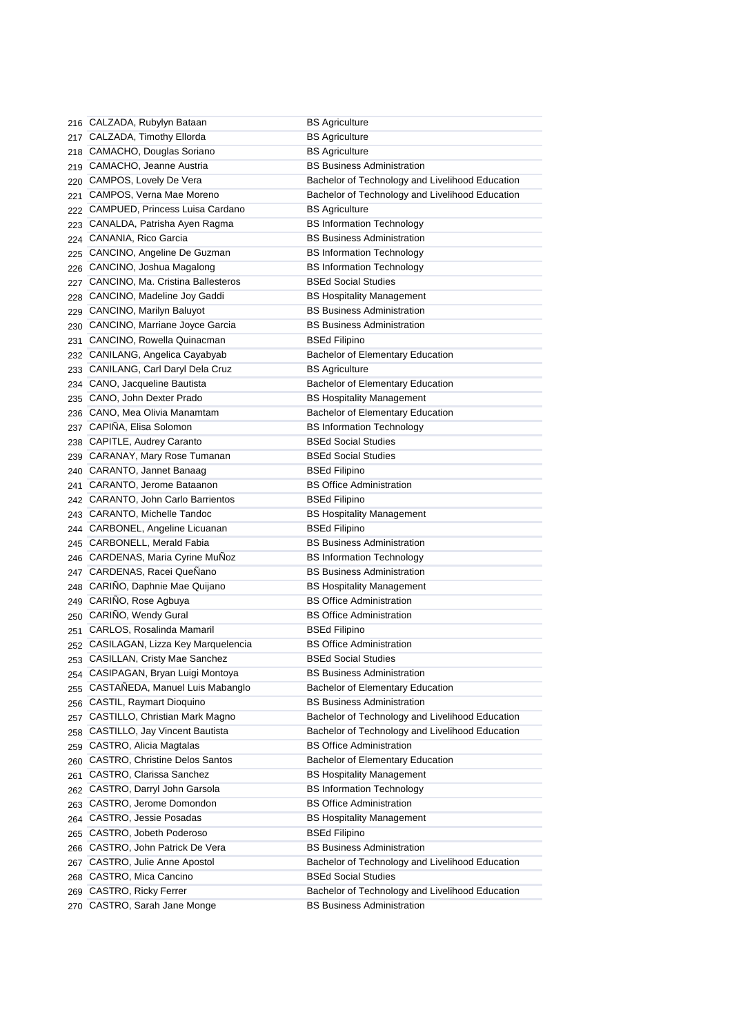|     | 216 CALZADA, Rubylyn Bataan           | <b>BS Agriculture</b>                           |
|-----|---------------------------------------|-------------------------------------------------|
| 217 | CALZADA, Timothy Ellorda              | <b>BS Agriculture</b>                           |
| 218 | CAMACHO, Douglas Soriano              | <b>BS Agriculture</b>                           |
|     | 219 CAMACHO, Jeanne Austria           | <b>BS Business Administration</b>               |
|     | 220 CAMPOS, Lovely De Vera            | Bachelor of Technology and Livelihood Education |
|     | 221 CAMPOS, Verna Mae Moreno          | Bachelor of Technology and Livelihood Education |
|     | 222 CAMPUED, Princess Luisa Cardano   | <b>BS Agriculture</b>                           |
|     | 223 CANALDA, Patrisha Ayen Ragma      | <b>BS Information Technology</b>                |
|     | 224 CANANIA, Rico Garcia              | <b>BS Business Administration</b>               |
| 225 | CANCINO, Angeline De Guzman           | <b>BS Information Technology</b>                |
| 226 | CANCINO, Joshua Magalong              | <b>BS Information Technology</b>                |
| 227 | CANCINO, Ma. Cristina Ballesteros     | <b>BSEd Social Studies</b>                      |
|     | 228 CANCINO, Madeline Joy Gaddi       | <b>BS Hospitality Management</b>                |
|     | 229 CANCINO, Marilyn Baluyot          | <b>BS Business Administration</b>               |
|     | 230 CANCINO, Marriane Joyce Garcia    | <b>BS Business Administration</b>               |
|     | 231 CANCINO, Rowella Quinacman        | <b>BSEd Filipino</b>                            |
|     | 232 CANILANG, Angelica Cayabyab       | Bachelor of Elementary Education                |
|     | 233 CANILANG, Carl Daryl Dela Cruz    | <b>BS Agriculture</b>                           |
|     | 234 CANO, Jacqueline Bautista         | Bachelor of Elementary Education                |
|     | 235 CANO, John Dexter Prado           | <b>BS Hospitality Management</b>                |
|     | 236 CANO, Mea Olivia Manamtam         | <b>Bachelor of Elementary Education</b>         |
|     | 237 CAPINA, Elisa Solomon             | <b>BS Information Technology</b>                |
| 238 | CAPITLE, Audrey Caranto               | <b>BSEd Social Studies</b>                      |
| 239 | CARANAY, Mary Rose Tumanan            | <b>BSEd Social Studies</b>                      |
| 240 | CARANTO, Jannet Banaag                | <b>BSEd Filipino</b>                            |
| 241 | CARANTO, Jerome Bataanon              | <b>BS Office Administration</b>                 |
| 242 | <b>CARANTO, John Carlo Barrientos</b> | <b>BSEd Filipino</b>                            |
|     | 243 CARANTO, Michelle Tandoc          | <b>BS Hospitality Management</b>                |
|     | 244 CARBONEL, Angeline Licuanan       | <b>BSEd Filipino</b>                            |
| 245 | CARBONELL, Merald Fabia               | <b>BS Business Administration</b>               |
|     | 246 CARDENAS, Maria Cyrine MuNoz      | <b>BS Information Technology</b>                |
| 247 | CARDENAS, Racei QueÑano               | <b>BS Business Administration</b>               |
| 248 | CARIÑO, Daphnie Mae Quijano           | <b>BS Hospitality Management</b>                |
| 249 | CARIÑO, Rose Agbuya                   | <b>BS Office Administration</b>                 |
| 250 | CARIÑO, Wendy Gural                   | <b>BS Office Administration</b>                 |
| 251 | CARLOS, Rosalinda Mamaril             | <b>BSEd Filipino</b>                            |
|     | 252 CASILAGAN, Lizza Key Marquelencia | <b>BS Office Administration</b>                 |
|     | 253 CASILLAN, Cristy Mae Sanchez      | <b>BSEd Social Studies</b>                      |
|     | 254 CASIPAGAN, Bryan Luigi Montoya    | <b>BS Business Administration</b>               |
| 255 | CASTAÑEDA, Manuel Luis Mabanglo       | Bachelor of Elementary Education                |
|     | 256 CASTIL, Raymart Dioquino          | <b>BS Business Administration</b>               |
| 257 | CASTILLO, Christian Mark Magno        | Bachelor of Technology and Livelihood Education |
| 258 | CASTILLO, Jay Vincent Bautista        | Bachelor of Technology and Livelihood Education |
| 259 | CASTRO, Alicia Magtalas               | <b>BS Office Administration</b>                 |
| 260 | CASTRO, Christine Delos Santos        | <b>Bachelor of Elementary Education</b>         |
| 261 | CASTRO, Clarissa Sanchez              | <b>BS Hospitality Management</b>                |
|     | 262 CASTRO, Darryl John Garsola       | <b>BS Information Technology</b>                |
| 263 | CASTRO, Jerome Domondon               | <b>BS Office Administration</b>                 |
| 264 | CASTRO, Jessie Posadas                | <b>BS Hospitality Management</b>                |
| 265 | CASTRO, Jobeth Poderoso               | <b>BSEd Filipino</b>                            |
| 266 | CASTRO, John Patrick De Vera          | <b>BS Business Administration</b>               |
| 267 | CASTRO, Julie Anne Apostol            | Bachelor of Technology and Livelihood Education |
| 268 | CASTRO, Mica Cancino                  | <b>BSEd Social Studies</b>                      |
| 269 | CASTRO, Ricky Ferrer                  | Bachelor of Technology and Livelihood Education |
| 270 | CASTRO, Sarah Jane Monge              | <b>BS Business Administration</b>               |
|     |                                       |                                                 |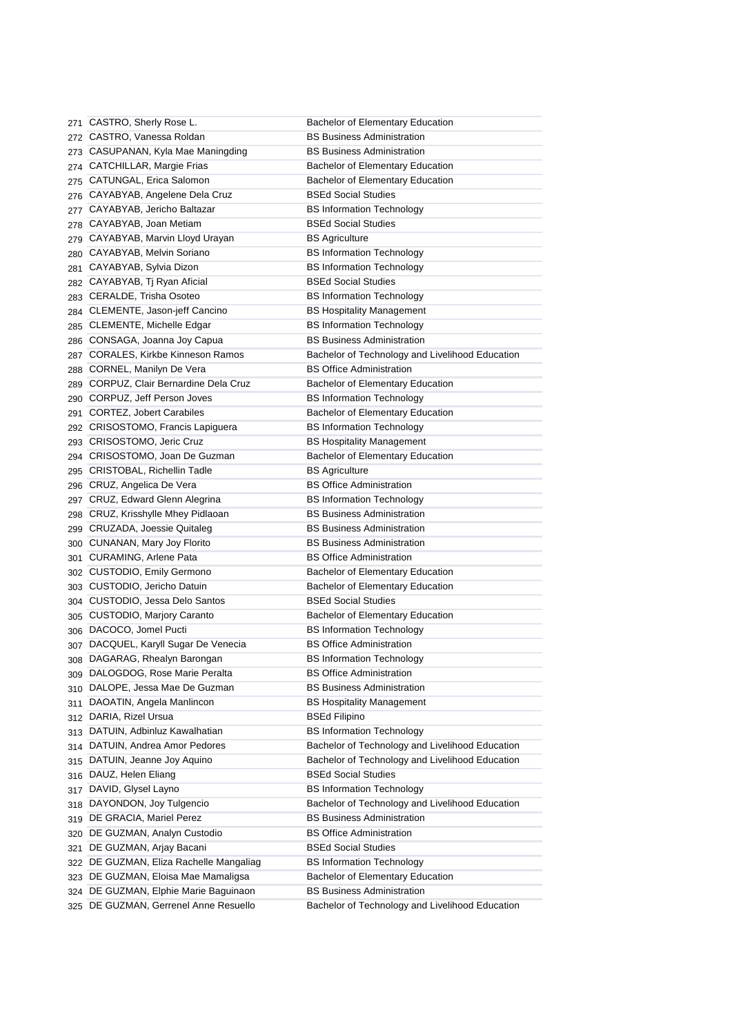| 271 | CASTRO, Sherly Rose L.                  | Bachelor of Elementary Education                |
|-----|-----------------------------------------|-------------------------------------------------|
| 272 | CASTRO, Vanessa Roldan                  | <b>BS Business Administration</b>               |
| 273 | CASUPANAN, Kyla Mae Maningding          | <b>BS Business Administration</b>               |
| 274 | CATCHILLAR, Margie Frias                | Bachelor of Elementary Education                |
| 275 | CATUNGAL, Erica Salomon                 | <b>Bachelor of Elementary Education</b>         |
| 276 | CAYABYAB, Angelene Dela Cruz            | <b>BSEd Social Studies</b>                      |
|     | 277 CAYABYAB, Jericho Baltazar          | <b>BS Information Technology</b>                |
|     | 278 CAYABYAB, Joan Metiam               | <b>BSEd Social Studies</b>                      |
|     | 279 CAYABYAB, Marvin Lloyd Urayan       | <b>BS Agriculture</b>                           |
| 280 | CAYABYAB, Melvin Soriano                | <b>BS Information Technology</b>                |
|     | 281 CAYABYAB, Sylvia Dizon              | <b>BS Information Technology</b>                |
|     | 282 CAYABYAB, Tj Ryan Aficial           | <b>BSEd Social Studies</b>                      |
|     | 283 CERALDE, Trisha Osoteo              | <b>BS Information Technology</b>                |
| 284 | CLEMENTE, Jason-jeff Cancino            | <b>BS Hospitality Management</b>                |
| 285 | CLEMENTE, Michelle Edgar                | <b>BS Information Technology</b>                |
|     | 286 CONSAGA, Joanna Joy Capua           | <b>BS Business Administration</b>               |
|     | 287 CORALES, Kirkbe Kinneson Ramos      | Bachelor of Technology and Livelihood Education |
| 288 | CORNEL, Manilyn De Vera                 | <b>BS Office Administration</b>                 |
| 289 | CORPUZ, Clair Bernardine Dela Cruz      | <b>Bachelor of Elementary Education</b>         |
|     | 290 CORPUZ, Jeff Person Joves           | <b>BS Information Technology</b>                |
| 291 | <b>CORTEZ, Jobert Carabiles</b>         | Bachelor of Elementary Education                |
| 292 | CRISOSTOMO, Francis Lapiguera           | <b>BS Information Technology</b>                |
| 293 | CRISOSTOMO, Jeric Cruz                  | <b>BS Hospitality Management</b>                |
| 294 | CRISOSTOMO, Joan De Guzman              | Bachelor of Elementary Education                |
| 295 | <b>CRISTOBAL, Richellin Tadle</b>       | <b>BS Agriculture</b>                           |
| 296 | CRUZ, Angelica De Vera                  | <b>BS Office Administration</b>                 |
| 297 | CRUZ, Edward Glenn Alegrina             | <b>BS Information Technology</b>                |
| 298 | CRUZ, Krisshylle Mhey Pidlaoan          | <b>BS Business Administration</b>               |
| 299 | CRUZADA, Joessie Quitaleg               | <b>BS Business Administration</b>               |
| 300 | CUNANAN, Mary Joy Florito               | <b>BS Business Administration</b>               |
| 301 | CURAMING, Arlene Pata                   | <b>BS Office Administration</b>                 |
|     | 302 CUSTODIO, Emily Germono             | Bachelor of Elementary Education                |
|     | 303 CUSTODIO, Jericho Datuin            | Bachelor of Elementary Education                |
|     | 304 CUSTODIO, Jessa Delo Santos         | <b>BSEd Social Studies</b>                      |
|     | 305 CUSTODIO, Marjory Caranto           | Bachelor of Elementary Education                |
|     | 306 DACOCO, Jomel Pucti                 | <b>BS Information Technology</b>                |
|     | 307 DACQUEL, Karyll Sugar De Venecia    | <b>BS Office Administration</b>                 |
|     | 308 DAGARAG, Rhealyn Barongan           | <b>BS Information Technology</b>                |
|     | 309 DALOGDOG, Rose Marie Peralta        | <b>BS Office Administration</b>                 |
|     | 310 DALOPE, Jessa Mae De Guzman         | <b>BS Business Administration</b>               |
|     | 311 DAOATIN, Angela Manlincon           | <b>BS Hospitality Management</b>                |
|     | 312 DARIA, Rizel Ursua                  | <b>BSEd Filipino</b>                            |
|     | 313 DATUIN, Adbinluz Kawalhatian        | <b>BS Information Technology</b>                |
|     | 314 DATUIN, Andrea Amor Pedores         | Bachelor of Technology and Livelihood Education |
| 315 | DATUIN, Jeanne Joy Aquino               | Bachelor of Technology and Livelihood Education |
|     | 316 DAUZ, Helen Eliang                  | <b>BSEd Social Studies</b>                      |
|     | 317 DAVID, Glysel Layno                 | <b>BS Information Technology</b>                |
|     | 318 DAYONDON, Joy Tulgencio             | Bachelor of Technology and Livelihood Education |
|     | 319 DE GRACIA, Mariel Perez             | <b>BS Business Administration</b>               |
|     | 320 DE GUZMAN, Analyn Custodio          | <b>BS Office Administration</b>                 |
| 321 | DE GUZMAN, Arjay Bacani                 | <b>BSEd Social Studies</b>                      |
|     | 322 DE GUZMAN, Eliza Rachelle Mangaliag | <b>BS Information Technology</b>                |
|     | 323 DE GUZMAN, Eloisa Mae Mamaligsa     | Bachelor of Elementary Education                |
|     | 324 DE GUZMAN, Elphie Marie Baguinaon   | <b>BS Business Administration</b>               |
|     | 325 DE GUZMAN, Gerrenel Anne Resuello   | Bachelor of Technology and Livelihood Education |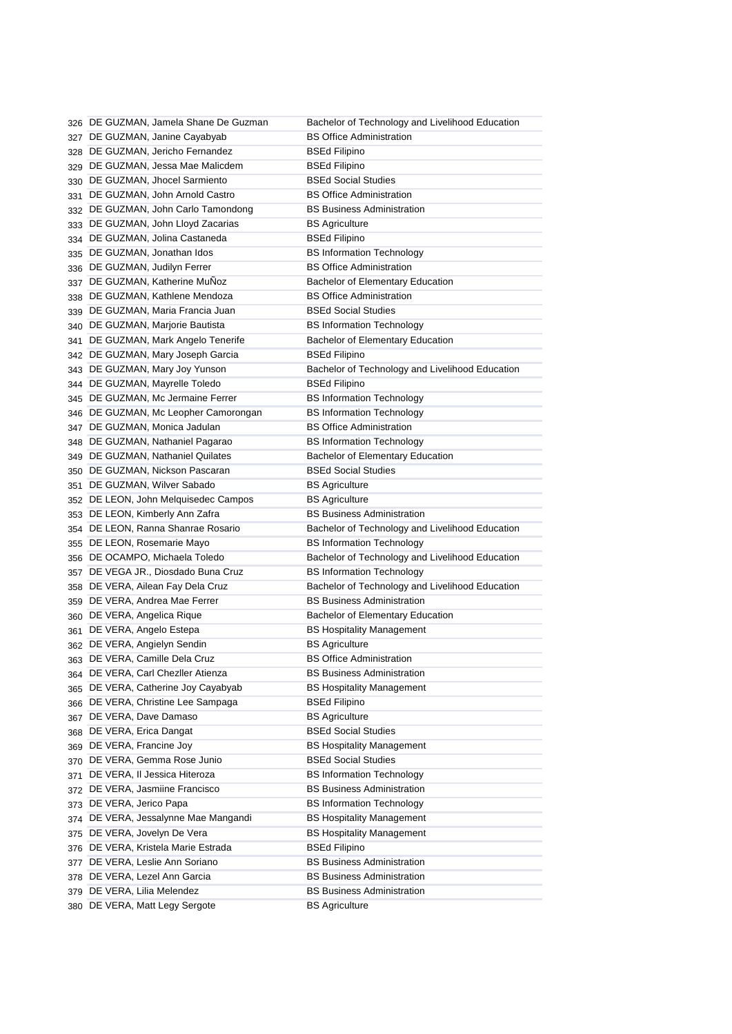|     | 326 DE GUZMAN, Jamela Shane De Guzman | Bachelor of Technology and Livelihood Education |
|-----|---------------------------------------|-------------------------------------------------|
| 327 | DE GUZMAN, Janine Cayabyab            | <b>BS Office Administration</b>                 |
| 328 | DE GUZMAN, Jericho Fernandez          | <b>BSEd Filipino</b>                            |
| 329 | DE GUZMAN, Jessa Mae Malicdem         | <b>BSEd Filipino</b>                            |
| 330 | DE GUZMAN, Jhocel Sarmiento           | <b>BSEd Social Studies</b>                      |
| 331 | DE GUZMAN, John Arnold Castro         | <b>BS Office Administration</b>                 |
| 332 | DE GUZMAN, John Carlo Tamondong       | <b>BS Business Administration</b>               |
| 333 | DE GUZMAN, John Lloyd Zacarias        | <b>BS Agriculture</b>                           |
| 334 | DE GUZMAN, Jolina Castaneda           | <b>BSEd Filipino</b>                            |
| 335 | DE GUZMAN, Jonathan Idos              | <b>BS Information Technology</b>                |
|     | 336 DE GUZMAN, Judilyn Ferrer         | <b>BS Office Administration</b>                 |
|     | 337 DE GUZMAN, Katherine MuNoz        | <b>Bachelor of Elementary Education</b>         |
| 338 | DE GUZMAN, Kathlene Mendoza           | <b>BS Office Administration</b>                 |
| 339 | DE GUZMAN, Maria Francia Juan         | <b>BSEd Social Studies</b>                      |
| 340 | DE GUZMAN, Marjorie Bautista          | <b>BS Information Technology</b>                |
| 341 | DE GUZMAN, Mark Angelo Tenerife       | Bachelor of Elementary Education                |
| 342 | DE GUZMAN, Mary Joseph Garcia         | <b>BSEd Filipino</b>                            |
| 343 | DE GUZMAN, Mary Joy Yunson            | Bachelor of Technology and Livelihood Education |
| 344 | DE GUZMAN, Mayrelle Toledo            | <b>BSEd Filipino</b>                            |
| 345 | DE GUZMAN, Mc Jermaine Ferrer         | <b>BS Information Technology</b>                |
| 346 | DE GUZMAN, Mc Leopher Camorongan      | <b>BS Information Technology</b>                |
|     | 347 DE GUZMAN, Monica Jadulan         | <b>BS Office Administration</b>                 |
|     | 348 DE GUZMAN, Nathaniel Pagarao      | <b>BS Information Technology</b>                |
|     | 349 DE GUZMAN, Nathaniel Quilates     | Bachelor of Elementary Education                |
|     | 350 DE GUZMAN, Nickson Pascaran       | <b>BSEd Social Studies</b>                      |
|     | DE GUZMAN, Wilver Sabado              | <b>BS Agriculture</b>                           |
| 351 | 352 DE LEON, John Melquisedec Campos  | <b>BS Agriculture</b>                           |
|     | DE LEON, Kimberly Ann Zafra           | <b>BS Business Administration</b>               |
| 353 | DE LEON, Ranna Shanrae Rosario        | Bachelor of Technology and Livelihood Education |
| 354 | DE LEON, Rosemarie Mayo               | <b>BS Information Technology</b>                |
| 355 | DE OCAMPO, Michaela Toledo            | Bachelor of Technology and Livelihood Education |
| 356 | DE VEGA JR., Diosdado Buna Cruz       | <b>BS Information Technology</b>                |
| 357 | DE VERA, Ailean Fay Dela Cruz         | Bachelor of Technology and Livelihood Education |
| 358 | DE VERA, Andrea Mae Ferrer            | <b>BS Business Administration</b>               |
| 359 | DE VERA, Angelica Rique               | <b>Bachelor of Elementary Education</b>         |
| 360 | DE VERA, Angelo Estepa                | <b>BS Hospitality Management</b>                |
| 361 | 362 DE VERA, Angielyn Sendin          | <b>BS Agriculture</b>                           |
|     | 363 DE VERA, Camille Dela Cruz        | <b>BS Office Administration</b>                 |
|     | 364 DE VERA, Carl Chezller Atienza    | <b>BS Business Administration</b>               |
|     | DE VERA, Catherine Joy Cayabyab       | <b>BS Hospitality Management</b>                |
| 365 | 366 DE VERA, Christine Lee Sampaga    | <b>BSEd Filipino</b>                            |
|     | DE VERA, Dave Damaso                  | <b>BS Agriculture</b>                           |
| 367 | DE VERA, Erica Dangat                 | <b>BSEd Social Studies</b>                      |
| 368 | DE VERA, Francine Joy                 | <b>BS Hospitality Management</b>                |
| 369 | DE VERA, Gemma Rose Junio             | <b>BSEd Social Studies</b>                      |
| 370 | DE VERA, Il Jessica Hiteroza          | <b>BS Information Technology</b>                |
| 371 | DE VERA, Jasmiine Francisco           | <b>BS Business Administration</b>               |
| 372 | DE VERA, Jerico Papa                  | <b>BS Information Technology</b>                |
| 373 |                                       | <b>BS Hospitality Management</b>                |
| 374 | DE VERA, Jessalynne Mae Mangandi      |                                                 |
| 375 | DE VERA, Jovelyn De Vera              | <b>BS Hospitality Management</b>                |
| 376 | DE VERA, Kristela Marie Estrada       | <b>BSEd Filipino</b>                            |
| 377 | DE VERA, Leslie Ann Soriano           | <b>BS Business Administration</b>               |
| 378 | DE VERA, Lezel Ann Garcia             | <b>BS Business Administration</b>               |
| 379 | DE VERA, Lilia Melendez               | <b>BS Business Administration</b>               |
|     | 380 DE VERA, Matt Legy Sergote        | <b>BS Agriculture</b>                           |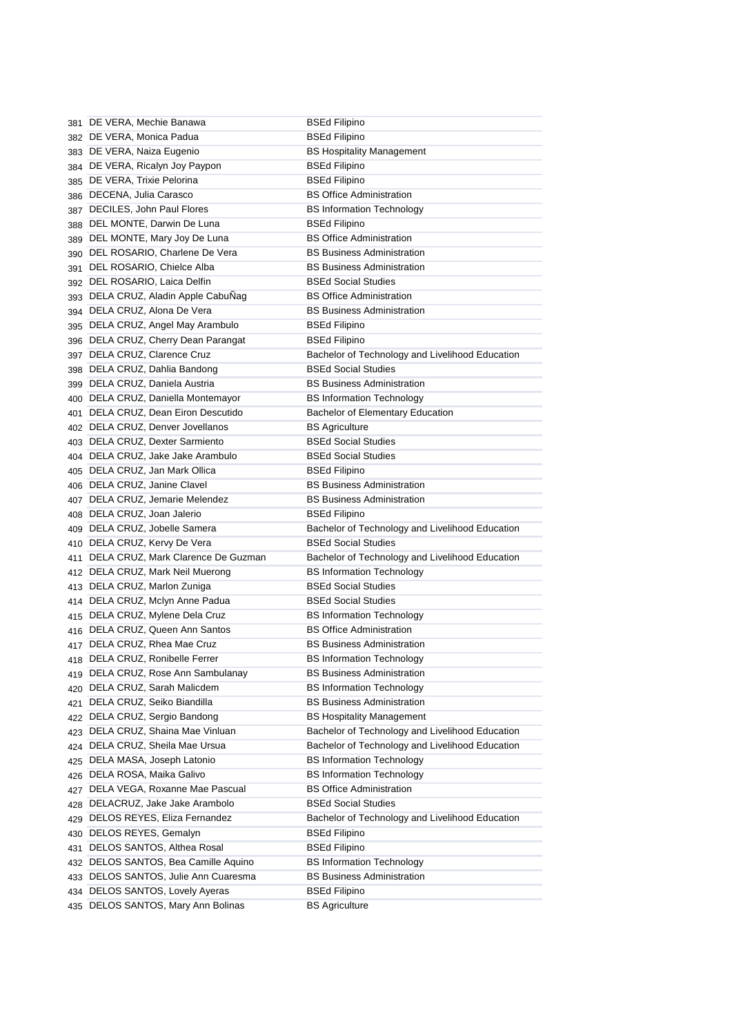|     | 381 DE VERA, Mechie Banawa                                      | <b>BSEd Filipino</b>                                                          |
|-----|-----------------------------------------------------------------|-------------------------------------------------------------------------------|
|     | 382 DE VERA, Monica Padua                                       | <b>BSEd Filipino</b>                                                          |
|     | 383 DE VERA, Naiza Eugenio                                      | <b>BS Hospitality Management</b>                                              |
|     | 384 DE VERA, Ricalyn Joy Paypon                                 | <b>BSEd Filipino</b>                                                          |
| 385 | DE VERA, Trixie Pelorina                                        | <b>BSEd Filipino</b>                                                          |
| 386 | DECENA, Julia Carasco                                           | <b>BS Office Administration</b>                                               |
|     | 387 DECILES, John Paul Flores                                   | <b>BS Information Technology</b>                                              |
| 388 | DEL MONTE, Darwin De Luna                                       | <b>BSEd Filipino</b>                                                          |
| 389 | DEL MONTE, Mary Joy De Luna                                     | <b>BS Office Administration</b>                                               |
| 390 | DEL ROSARIO, Charlene De Vera                                   | <b>BS Business Administration</b>                                             |
| 391 | DEL ROSARIO, Chielce Alba                                       | <b>BS Business Administration</b>                                             |
| 392 | DEL ROSARIO, Laica Delfin                                       | <b>BSEd Social Studies</b>                                                    |
|     | 393 DELA CRUZ, Aladin Apple CabuNag                             | <b>BS Office Administration</b>                                               |
|     | 394 DELA CRUZ, Alona De Vera                                    | <b>BS Business Administration</b>                                             |
|     | 395 DELA CRUZ, Angel May Arambulo                               | <b>BSEd Filipino</b>                                                          |
|     | 396 DELA CRUZ, Cherry Dean Parangat                             | <b>BSEd Filipino</b>                                                          |
|     | 397 DELA CRUZ, Clarence Cruz                                    | Bachelor of Technology and Livelihood Education                               |
| 398 | DELA CRUZ, Dahlia Bandong                                       | <b>BSEd Social Studies</b>                                                    |
|     | 399 DELA CRUZ, Daniela Austria                                  | <b>BS Business Administration</b>                                             |
|     | 400 DELA CRUZ, Daniella Montemayor                              | <b>BS Information Technology</b>                                              |
| 401 | DELA CRUZ, Dean Eiron Descutido                                 | Bachelor of Elementary Education                                              |
|     | 402 DELA CRUZ, Denver Jovellanos                                | <b>BS Agriculture</b>                                                         |
|     | 403 DELA CRUZ, Dexter Sarmiento                                 | <b>BSEd Social Studies</b>                                                    |
|     | 404 DELA CRUZ, Jake Jake Arambulo                               | <b>BSEd Social Studies</b>                                                    |
|     | 405 DELA CRUZ, Jan Mark Ollica                                  | <b>BSEd Filipino</b>                                                          |
|     | 406 DELA CRUZ, Janine Clavel                                    | <b>BS Business Administration</b>                                             |
|     | 407 DELA CRUZ, Jemarie Melendez                                 | <b>BS Business Administration</b>                                             |
|     | 408 DELA CRUZ, Joan Jalerio                                     | <b>BSEd Filipino</b>                                                          |
|     | 409 DELA CRUZ, Jobelle Samera                                   |                                                                               |
|     |                                                                 | Bachelor of Technology and Livelihood Education<br><b>BSEd Social Studies</b> |
|     | 410 DELA CRUZ, Kervy De Vera                                    |                                                                               |
| 411 | DELA CRUZ, Mark Clarence De Guzman                              | Bachelor of Technology and Livelihood Education                               |
| 412 | DELA CRUZ, Mark Neil Muerong                                    | <b>BS Information Technology</b>                                              |
| 413 | DELA CRUZ, Marlon Zuniga                                        | <b>BSEd Social Studies</b>                                                    |
| 414 | DELA CRUZ, Mclyn Anne Padua                                     | <b>BSEd Social Studies</b>                                                    |
| 415 | DELA CRUZ, Mylene Dela Cruz                                     | <b>BS Information Technology</b>                                              |
|     | 416 DELA CRUZ, Queen Ann Santos                                 | <b>BS Office Administration</b>                                               |
|     | 417 DELA CRUZ, Rhea Mae Cruz                                    | <b>BS Business Administration</b>                                             |
|     | 418 DELA CRUZ, Ronibelle Ferrer                                 | <b>BS Information Technology</b>                                              |
|     | 419 DELA CRUZ, Rose Ann Sambulanay                              | <b>BS Business Administration</b>                                             |
| 420 | DELA CRUZ, Sarah Malicdem                                       | <b>BS Information Technology</b>                                              |
| 421 | DELA CRUZ, Seiko Biandilla                                      | <b>BS Business Administration</b>                                             |
| 422 | DELA CRUZ, Sergio Bandong                                       | <b>BS Hospitality Management</b>                                              |
| 423 | DELA CRUZ, Shaina Mae Vinluan                                   | Bachelor of Technology and Livelihood Education                               |
| 424 | DELA CRUZ, Sheila Mae Ursua                                     | Bachelor of Technology and Livelihood Education                               |
| 425 | DELA MASA, Joseph Latonio                                       | <b>BS Information Technology</b>                                              |
| 426 | DELA ROSA, Maika Galivo                                         | <b>BS Information Technology</b>                                              |
| 427 | DELA VEGA, Roxanne Mae Pascual                                  | <b>BS Office Administration</b>                                               |
| 428 | DELACRUZ, Jake Jake Arambolo                                    | <b>BSEd Social Studies</b>                                                    |
| 429 | DELOS REYES, Eliza Fernandez                                    | Bachelor of Technology and Livelihood Education                               |
| 430 | DELOS REYES, Gemalyn                                            | <b>BSEd Filipino</b>                                                          |
| 431 | DELOS SANTOS, Althea Rosal                                      | <b>BSEd Filipino</b>                                                          |
| 432 | DELOS SANTOS, Bea Camille Aquino                                | <b>BS Information Technology</b>                                              |
| 433 |                                                                 |                                                                               |
|     |                                                                 | <b>BS Business Administration</b>                                             |
| 434 | DELOS SANTOS, Julie Ann Cuaresma<br>DELOS SANTOS, Lovely Ayeras | <b>BSEd Filipino</b>                                                          |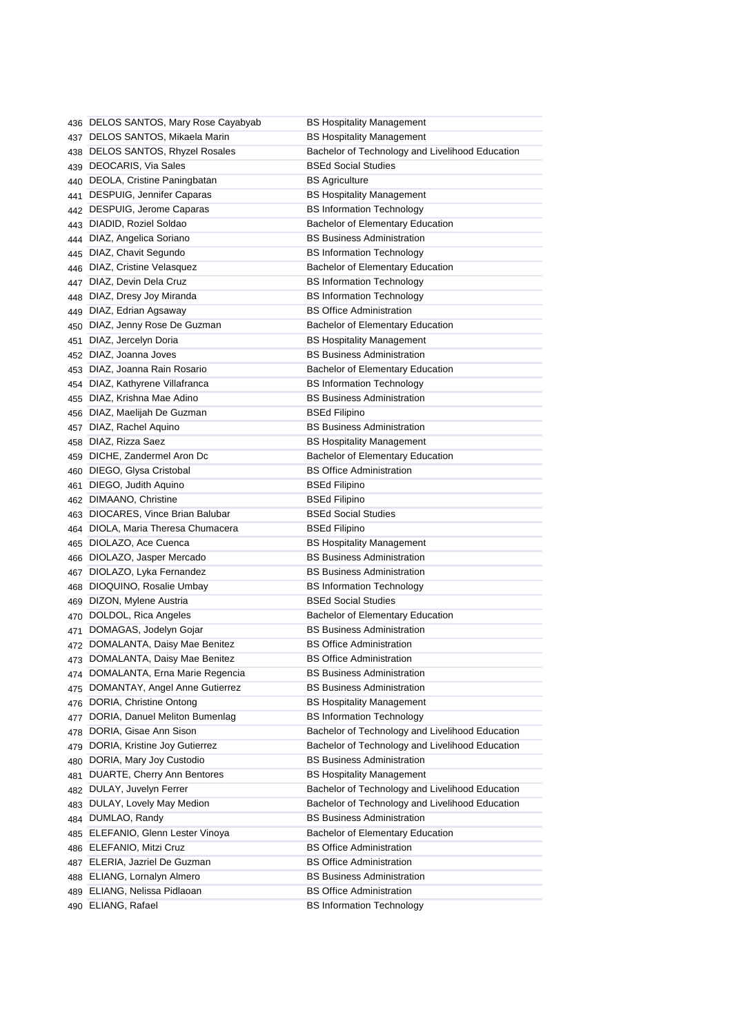|     | 436 DELOS SANTOS, Mary Rose Cayabyab | <b>BS Hospitality Management</b>                |
|-----|--------------------------------------|-------------------------------------------------|
|     | 437 DELOS SANTOS, Mikaela Marin      | <b>BS Hospitality Management</b>                |
| 438 | DELOS SANTOS, Rhyzel Rosales         | Bachelor of Technology and Livelihood Education |
|     | 439 DEOCARIS, Via Sales              | <b>BSEd Social Studies</b>                      |
|     | 440 DEOLA, Cristine Paningbatan      | <b>BS Agriculture</b>                           |
|     | 441 DESPUIG, Jennifer Caparas        | <b>BS Hospitality Management</b>                |
|     | 442 DESPUIG, Jerome Caparas          | <b>BS Information Technology</b>                |
|     | 443 DIADID, Roziel Soldao            | <b>Bachelor of Elementary Education</b>         |
|     | 444 DIAZ, Angelica Soriano           | <b>BS Business Administration</b>               |
| 445 | DIAZ, Chavit Segundo                 | <b>BS Information Technology</b>                |
|     | 446 DIAZ, Cristine Velasquez         | Bachelor of Elementary Education                |
|     | 447 DIAZ, Devin Dela Cruz            | <b>BS Information Technology</b>                |
|     | 448 DIAZ, Dresy Joy Miranda          | <b>BS Information Technology</b>                |
|     | 449 DIAZ, Edrian Agsaway             | <b>BS Office Administration</b>                 |
|     | 450 DIAZ, Jenny Rose De Guzman       | <b>Bachelor of Elementary Education</b>         |
|     | 451 DIAZ, Jercelyn Doria             | <b>BS Hospitality Management</b>                |
|     | 452 DIAZ, Joanna Joves               | <b>BS Business Administration</b>               |
|     | 453 DIAZ, Joanna Rain Rosario        | <b>Bachelor of Elementary Education</b>         |
|     | 454 DIAZ, Kathyrene Villafranca      | <b>BS Information Technology</b>                |
|     | 455 DIAZ, Krishna Mae Adino          | <b>BS Business Administration</b>               |
|     | 456 DIAZ, Maelijah De Guzman         | BSEd Filipino                                   |
|     | 457 DIAZ, Rachel Aquino              | <b>BS Business Administration</b>               |
|     | 458 DIAZ, Rizza Saez                 | <b>BS Hospitality Management</b>                |
|     | 459 DICHE, Zandermel Aron Dc         | <b>Bachelor of Elementary Education</b>         |
|     | 460 DIEGO, Glysa Cristobal           | <b>BS Office Administration</b>                 |
| 461 | DIEGO, Judith Aquino                 | BSEd Filipino                                   |
|     | 462 DIMAANO, Christine               | BSEd Filipino                                   |
| 463 | DIOCARES, Vince Brian Balubar        | <b>BSEd Social Studies</b>                      |
| 464 | DIOLA, Maria Theresa Chumacera       | <b>BSEd Filipino</b>                            |
|     | 465 DIOLAZO, Ace Cuenca              | <b>BS Hospitality Management</b>                |
| 466 | DIOLAZO, Jasper Mercado              | <b>BS Business Administration</b>               |
| 467 | DIOLAZO, Lyka Fernandez              | <b>BS Business Administration</b>               |
| 468 | DIOQUINO, Rosalie Umbay              | <b>BS Information Technology</b>                |
| 469 | DIZON, Mylene Austria                | <b>BSEd Social Studies</b>                      |
| 470 | DOLDOL, Rica Angeles                 | <b>Bachelor of Elementary Education</b>         |
| 471 | DOMAGAS, Jodelyn Gojar               | <b>BS Business Administration</b>               |
|     | 472 DOMALANTA, Daisy Mae Benitez     | <b>BS Office Administration</b>                 |
|     | 473 DOMALANTA, Daisy Mae Benitez     | <b>BS Office Administration</b>                 |
|     | 474 DOMALANTA, Erna Marie Regencia   | <b>BS Business Administration</b>               |
| 475 | DOMANTAY, Angel Anne Gutierrez       | <b>BS Business Administration</b>               |
|     | 476 DORIA, Christine Ontong          | <b>BS Hospitality Management</b>                |
| 477 | DORIA, Danuel Meliton Bumenlag       | <b>BS Information Technology</b>                |
| 478 | DORIA, Gisae Ann Sison               | Bachelor of Technology and Livelihood Education |
| 479 | DORIA, Kristine Joy Gutierrez        | Bachelor of Technology and Livelihood Education |
|     | 480 DORIA, Mary Joy Custodio         | <b>BS Business Administration</b>               |
| 481 | DUARTE, Cherry Ann Bentores          | <b>BS Hospitality Management</b>                |
|     | 482 DULAY, Juvelyn Ferrer            | Bachelor of Technology and Livelihood Education |
| 483 | DULAY, Lovely May Medion             | Bachelor of Technology and Livelihood Education |
| 484 | DUMLAO, Randy                        | <b>BS Business Administration</b>               |
| 485 | ELEFANIO, Glenn Lester Vinoya        | Bachelor of Elementary Education                |
| 486 | ELEFANIO, Mitzi Cruz                 | <b>BS Office Administration</b>                 |
|     | 487 ELERIA, Jazriel De Guzman        | <b>BS Office Administration</b>                 |
|     | 488 ELIANG, Lornalyn Almero          | <b>BS Business Administration</b>               |
| 489 | ELIANG, Nelissa Pidlaoan             | <b>BS Office Administration</b>                 |
|     | 490 ELIANG, Rafael                   | <b>BS Information Technology</b>                |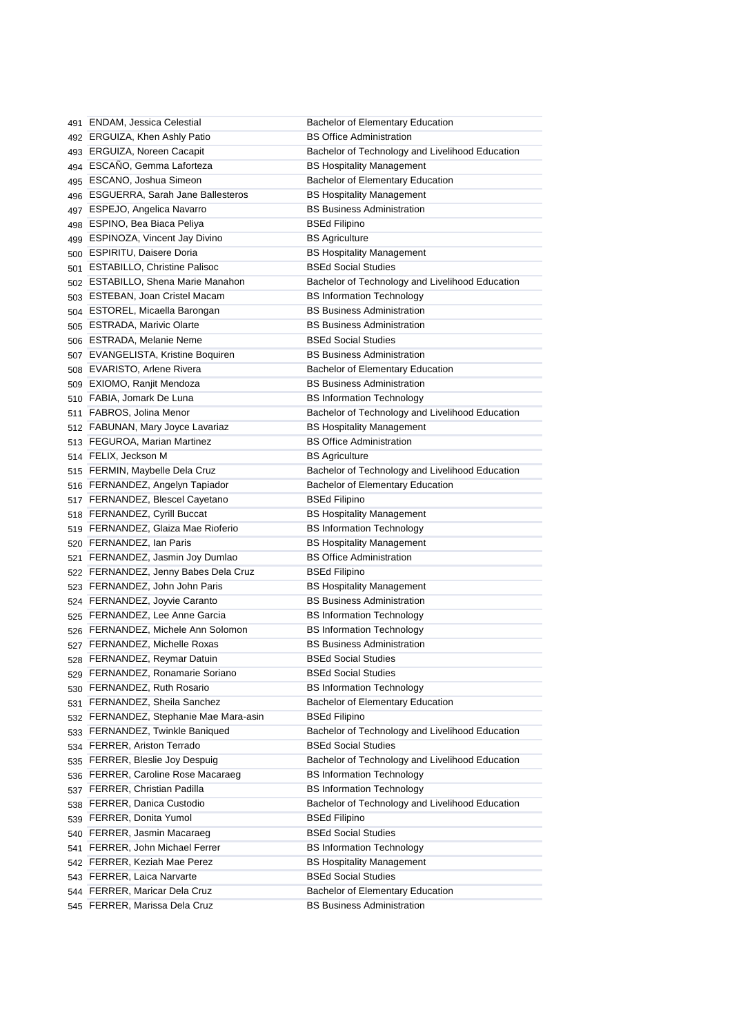| 491 ENDAM, Jessica Celestial           | Bachelor of Elementary Education                |
|----------------------------------------|-------------------------------------------------|
| 492 ERGUIZA, Khen Ashly Patio          | <b>BS Office Administration</b>                 |
| 493 ERGUIZA, Noreen Cacapit            | Bachelor of Technology and Livelihood Education |
| 494 ESCAÑO, Gemma Laforteza            | <b>BS Hospitality Management</b>                |
| 495 ESCANO, Joshua Simeon              | Bachelor of Elementary Education                |
| 496 ESGUERRA, Sarah Jane Ballesteros   | <b>BS Hospitality Management</b>                |
| 497 ESPEJO, Angelica Navarro           | <b>BS Business Administration</b>               |
| 498 ESPINO, Bea Biaca Peliya           | <b>BSEd Filipino</b>                            |
| 499 ESPINOZA, Vincent Jay Divino       | <b>BS Agriculture</b>                           |
| 500 ESPIRITU, Daisere Doria            | <b>BS Hospitality Management</b>                |
| 501 ESTABILLO, Christine Palisoc       | <b>BSEd Social Studies</b>                      |
| 502 ESTABILLO, Shena Marie Manahon     | Bachelor of Technology and Livelihood Education |
| 503 ESTEBAN, Joan Cristel Macam        | <b>BS Information Technology</b>                |
| 504 ESTOREL, Micaella Barongan         | <b>BS Business Administration</b>               |
| 505 ESTRADA, Marivic Olarte            | <b>BS Business Administration</b>               |
| 506 ESTRADA, Melanie Neme              | <b>BSEd Social Studies</b>                      |
| 507 EVANGELISTA, Kristine Boquiren     | <b>BS Business Administration</b>               |
| 508 EVARISTO, Arlene Rivera            | <b>Bachelor of Elementary Education</b>         |
| 509 EXIOMO, Ranjit Mendoza             | <b>BS Business Administration</b>               |
| 510 FABIA, Jomark De Luna              | <b>BS Information Technology</b>                |
| 511 FABROS, Jolina Menor               | Bachelor of Technology and Livelihood Education |
| 512 FABUNAN, Mary Joyce Lavariaz       | <b>BS Hospitality Management</b>                |
| 513 FEGUROA, Marian Martinez           | <b>BS Office Administration</b>                 |
| 514 FELIX, Jeckson M                   | <b>BS Agriculture</b>                           |
| 515 FERMIN, Maybelle Dela Cruz         | Bachelor of Technology and Livelihood Education |
| 516 FERNANDEZ, Angelyn Tapiador        | Bachelor of Elementary Education                |
| 517 FERNANDEZ, Blescel Cayetano        | <b>BSEd Filipino</b>                            |
| 518 FERNANDEZ, Cyrill Buccat           | <b>BS Hospitality Management</b>                |
| 519 FERNANDEZ, Glaiza Mae Rioferio     | <b>BS Information Technology</b>                |
| 520 FERNANDEZ, Ian Paris               | <b>BS Hospitality Management</b>                |
| 521 FERNANDEZ, Jasmin Joy Dumlao       | <b>BS Office Administration</b>                 |
| 522 FERNANDEZ, Jenny Babes Dela Cruz   | <b>BSEd Filipino</b>                            |
| 523 FERNANDEZ, John John Paris         | <b>BS Hospitality Management</b>                |
| 524 FERNANDEZ, Joyvie Caranto          | <b>BS Business Administration</b>               |
| 525 FERNANDEZ, Lee Anne Garcia         | <b>BS Information Technology</b>                |
| 526 FERNANDEZ, Michele Ann Solomon     | <b>BS Information Technology</b>                |
| 527 FERNANDEZ, Michelle Roxas          | <b>BS Business Administration</b>               |
| 528 FERNANDEZ, Reymar Datuin           | <b>BSEd Social Studies</b>                      |
| 529 FERNANDEZ, Ronamarie Soriano       | <b>BSEd Social Studies</b>                      |
| 530 FERNANDEZ, Ruth Rosario            | <b>BS Information Technology</b>                |
| 531 FERNANDEZ, Sheila Sanchez          | Bachelor of Elementary Education                |
| 532 FERNANDEZ, Stephanie Mae Mara-asin | <b>BSEd Filipino</b>                            |
| 533 FERNANDEZ, Twinkle Baniqued        | Bachelor of Technology and Livelihood Education |
| 534 FERRER, Ariston Terrado            | <b>BSEd Social Studies</b>                      |
| 535 FERRER, Bleslie Joy Despuig        | Bachelor of Technology and Livelihood Education |
| 536 FERRER, Caroline Rose Macaraeg     | <b>BS Information Technology</b>                |
| 537 FERRER, Christian Padilla          | <b>BS Information Technology</b>                |
| 538 FERRER, Danica Custodio            | Bachelor of Technology and Livelihood Education |
| 539 FERRER, Donita Yumol               | <b>BSEd Filipino</b>                            |
| 540 FERRER, Jasmin Macaraeg            | <b>BSEd Social Studies</b>                      |
| 541 FERRER, John Michael Ferrer        | <b>BS Information Technology</b>                |
| 542 FERRER, Keziah Mae Perez           | <b>BS Hospitality Management</b>                |
| 543 FERRER, Laica Narvarte             | <b>BSEd Social Studies</b>                      |
| 544 FERRER, Maricar Dela Cruz          | Bachelor of Elementary Education                |
| 545 FERRER, Marissa Dela Cruz          | <b>BS Business Administration</b>               |
|                                        |                                                 |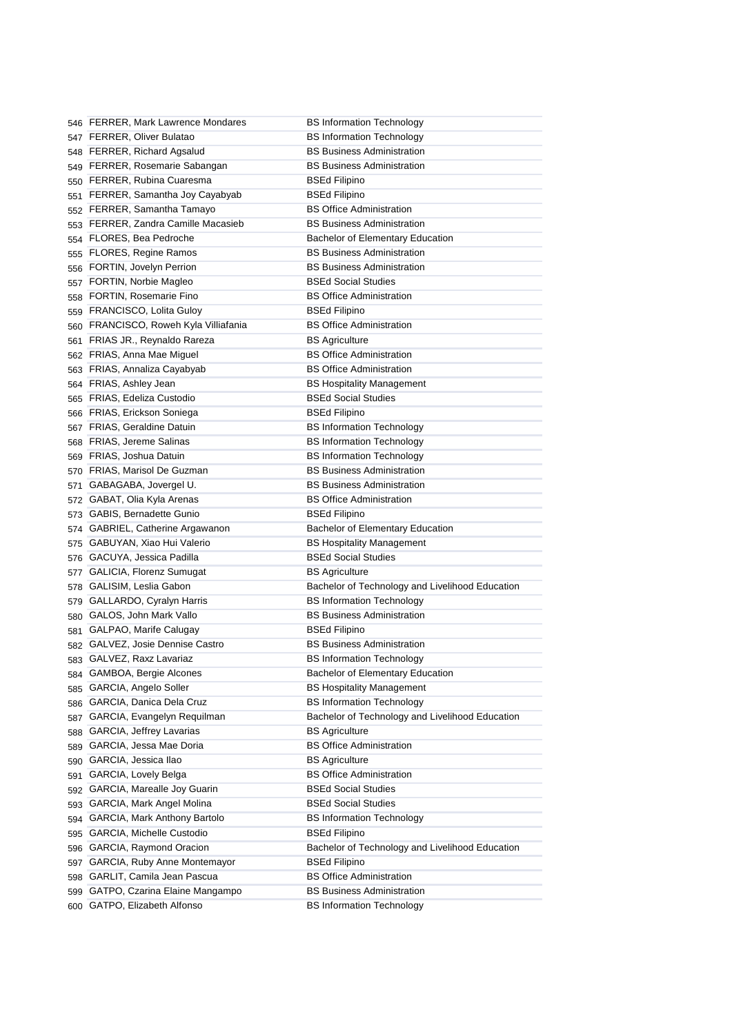|            | 546 FERRER, Mark Lawrence Mondares  | <b>BS Information Technology</b>                              |
|------------|-------------------------------------|---------------------------------------------------------------|
|            | 547 FERRER, Oliver Bulatao          | <b>BS Information Technology</b>                              |
|            | 548 FERRER, Richard Agsalud         | <b>BS Business Administration</b>                             |
|            | 549 FERRER, Rosemarie Sabangan      | <b>BS Business Administration</b>                             |
|            | 550 FERRER, Rubina Cuaresma         | <b>BSEd Filipino</b>                                          |
|            | 551 FERRER, Samantha Joy Cayabyab   | <b>BSEd Filipino</b>                                          |
|            | 552 FERRER, Samantha Tamayo         | <b>BS Office Administration</b>                               |
|            | 553 FERRER, Zandra Camille Macasieb | <b>BS Business Administration</b>                             |
|            | 554 FLORES, Bea Pedroche            | <b>Bachelor of Elementary Education</b>                       |
| 555        | <b>FLORES, Regine Ramos</b>         | <b>BS Business Administration</b>                             |
|            | 556 FORTIN, Jovelyn Perrion         | <b>BS Business Administration</b>                             |
|            | 557 FORTIN, Norbie Magleo           | <b>BSEd Social Studies</b>                                    |
| 558        | <b>FORTIN, Rosemarie Fino</b>       | <b>BS Office Administration</b>                               |
|            | 559 FRANCISCO, Lolita Guloy         | <b>BSEd Filipino</b>                                          |
| 560        | FRANCISCO, Roweh Kyla Villiafania   | <b>BS Office Administration</b>                               |
| 561        | FRIAS JR., Reynaldo Rareza          | <b>BS Agriculture</b>                                         |
|            | 562 FRIAS, Anna Mae Miguel          | <b>BS Office Administration</b>                               |
|            | 563 FRIAS, Annaliza Cayabyab        | <b>BS Office Administration</b>                               |
|            | 564 FRIAS, Ashley Jean              | <b>BS Hospitality Management</b>                              |
| 565        | FRIAS, Edeliza Custodio             | <b>BSEd Social Studies</b>                                    |
| 566        | FRIAS, Erickson Soniega             | <b>BSEd Filipino</b>                                          |
|            | 567 FRIAS, Geraldine Datuin         | <b>BS Information Technology</b>                              |
|            | 568 FRIAS, Jereme Salinas           | <b>BS Information Technology</b>                              |
|            | 569 FRIAS, Joshua Datuin            | <b>BS Information Technology</b>                              |
|            | 570 FRIAS, Marisol De Guzman        | <b>BS Business Administration</b>                             |
| 571        | GABAGABA, Jovergel U.               | <b>BS Business Administration</b>                             |
| 572        | GABAT, Olia Kyla Arenas             | <b>BS Office Administration</b>                               |
| 573        | <b>GABIS, Bernadette Gunio</b>      | <b>BSEd Filipino</b>                                          |
|            | GABRIEL, Catherine Argawanon        | Bachelor of Elementary Education                              |
| 574<br>575 | GABUYAN, Xiao Hui Valerio           | <b>BS Hospitality Management</b>                              |
|            | GACUYA, Jessica Padilla             | <b>BSEd Social Studies</b>                                    |
| 576<br>577 | GALICIA, Florenz Sumugat            | <b>BS Agriculture</b>                                         |
|            | GALISIM, Leslia Gabon               | Bachelor of Technology and Livelihood Education               |
| 578        | <b>GALLARDO, Cyralyn Harris</b>     | <b>BS Information Technology</b>                              |
| 579        | GALOS, John Mark Vallo              | <b>BS Business Administration</b>                             |
| 580        | 581 GALPAO, Marife Calugay          | <b>BSEd Filipino</b>                                          |
|            | 582 GALVEZ, Josie Dennise Castro    | <b>BS Business Administration</b>                             |
|            | 583 GALVEZ, Raxz Lavariaz           | <b>BS Information Technology</b>                              |
|            | 584 GAMBOA, Bergie Alcones          | Bachelor of Elementary Education                              |
|            | GARCIA, Angelo Soller               | <b>BS Hospitality Management</b>                              |
| 585        | GARCIA, Danica Dela Cruz            | <b>BS Information Technology</b>                              |
| 586        | GARCIA, Evangelyn Requilman         | Bachelor of Technology and Livelihood Education               |
| 587        | GARCIA, Jeffrey Lavarias            | <b>BS Agriculture</b>                                         |
| 588        | GARCIA, Jessa Mae Doria             | <b>BS Office Administration</b>                               |
| 589        |                                     |                                                               |
| 590        | GARCIA, Jessica Ilao                | <b>BS Agriculture</b>                                         |
| 591        | GARCIA, Lovely Belga                | <b>BS Office Administration</b><br><b>BSEd Social Studies</b> |
|            | 592 GARCIA, Marealle Joy Guarin     |                                                               |
| 593        | GARCIA, Mark Angel Molina           | <b>BSEd Social Studies</b>                                    |
|            | 594 GARCIA, Mark Anthony Bartolo    | <b>BS Information Technology</b>                              |
| 595        | GARCIA, Michelle Custodio           | <b>BSEd Filipino</b>                                          |
|            | 596 GARCIA, Raymond Oracion         | Bachelor of Technology and Livelihood Education               |
| 597        | GARCIA, Ruby Anne Montemayor        | <b>BSEd Filipino</b>                                          |
| 598        | GARLIT, Camila Jean Pascua          | <b>BS Office Administration</b>                               |
| 599        | GATPO, Czarina Elaine Mangampo      | <b>BS Business Administration</b>                             |
|            | 600 GATPO, Elizabeth Alfonso        | <b>BS Information Technology</b>                              |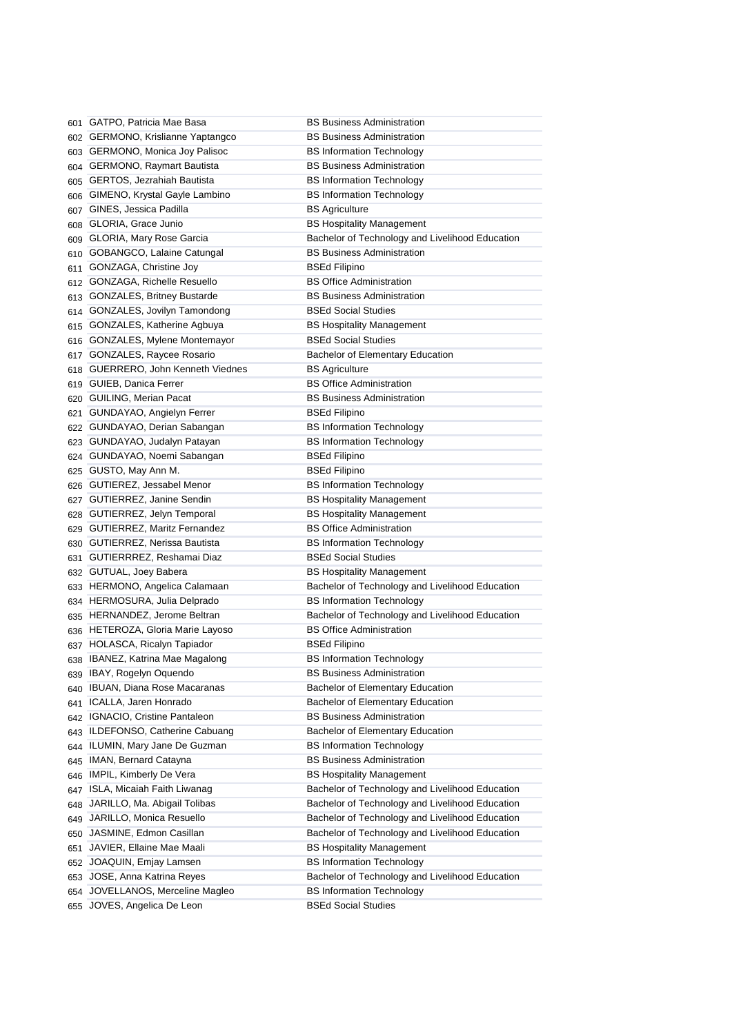|     | 601 GATPO, Patricia Mae Basa       | <b>BS Business Administration</b>                                                   |
|-----|------------------------------------|-------------------------------------------------------------------------------------|
|     | 602 GERMONO, Krislianne Yaptangco  | <b>BS Business Administration</b>                                                   |
|     | 603 GERMONO, Monica Joy Palisoc    | <b>BS Information Technology</b>                                                    |
|     | 604 GERMONO, Raymart Bautista      | <b>BS Business Administration</b>                                                   |
|     | 605 GERTOS, Jezrahiah Bautista     | <b>BS Information Technology</b>                                                    |
|     | 606 GIMENO, Krystal Gayle Lambino  | <b>BS Information Technology</b>                                                    |
|     | 607 GINES, Jessica Padilla         | <b>BS Agriculture</b>                                                               |
|     | 608 GLORIA, Grace Junio            | <b>BS Hospitality Management</b>                                                    |
|     | 609 GLORIA, Mary Rose Garcia       | Bachelor of Technology and Livelihood Education                                     |
|     | 610 GOBANGCO, Lalaine Catungal     | <b>BS Business Administration</b>                                                   |
| 611 | GONZAGA, Christine Joy             | <b>BSEd Filipino</b>                                                                |
|     | 612 GONZAGA, Richelle Resuello     | <b>BS Office Administration</b>                                                     |
| 613 | <b>GONZALES, Britney Bustarde</b>  | <b>BS Business Administration</b>                                                   |
| 614 | GONZALES, Jovilyn Tamondong        | <b>BSEd Social Studies</b>                                                          |
| 615 | GONZALES, Katherine Agbuya         | <b>BS Hospitality Management</b>                                                    |
|     | 616 GONZALES, Mylene Montemayor    | <b>BSEd Social Studies</b>                                                          |
|     | 617 GONZALES, Raycee Rosario       | <b>Bachelor of Elementary Education</b>                                             |
|     | 618 GUERRERO, John Kenneth Viednes | <b>BS Agriculture</b>                                                               |
|     | 619 GUIEB, Danica Ferrer           | <b>BS Office Administration</b>                                                     |
|     | 620 GUILING, Merian Pacat          | <b>BS Business Administration</b>                                                   |
| 621 | GUNDAYAO, Angielyn Ferrer          | <b>BSEd Filipino</b>                                                                |
|     | 622 GUNDAYAO, Derian Sabangan      | <b>BS Information Technology</b>                                                    |
|     | 623 GUNDAYAO, Judalyn Patayan      | <b>BS Information Technology</b>                                                    |
|     | 624 GUNDAYAO, Noemi Sabangan       | <b>BSEd Filipino</b>                                                                |
|     | 625 GUSTO, May Ann M.              | <b>BSEd Filipino</b>                                                                |
|     | 626 GUTIEREZ, Jessabel Menor       | <b>BS Information Technology</b>                                                    |
|     | 627 GUTIERREZ, Janine Sendin       | <b>BS Hospitality Management</b>                                                    |
|     | 628 GUTIERREZ, Jelyn Temporal      | <b>BS Hospitality Management</b>                                                    |
|     | 629 GUTIERREZ, Maritz Fernandez    | <b>BS Office Administration</b>                                                     |
|     | 630 GUTIERREZ, Nerissa Bautista    | <b>BS Information Technology</b>                                                    |
|     | 631 GUTIERRREZ, Reshamai Diaz      | <b>BSEd Social Studies</b>                                                          |
|     | 632 GUTUAL, Joey Babera            | <b>BS Hospitality Management</b>                                                    |
|     | 633 HERMONO, Angelica Calamaan     | Bachelor of Technology and Livelihood Education                                     |
|     | 634 HERMOSURA, Julia Delprado      | <b>BS Information Technology</b>                                                    |
|     | 635 HERNANDEZ, Jerome Beltran      | Bachelor of Technology and Livelihood Education                                     |
|     | 636 HETEROZA, Gloria Marie Layoso  | <b>BS Office Administration</b>                                                     |
|     | 637 HOLASCA, Ricalyn Tapiador      | <b>BSEd Filipino</b>                                                                |
|     | 638 IBANEZ, Katrina Mae Magalong   | <b>BS Information Technology</b>                                                    |
|     | 639 IBAY, Rogelyn Oquendo          | <b>BS Business Administration</b>                                                   |
| 640 | <b>IBUAN, Diana Rose Macaranas</b> | Bachelor of Elementary Education                                                    |
| 641 | ICALLA, Jaren Honrado              | Bachelor of Elementary Education                                                    |
|     | 642 IGNACIO, Cristine Pantaleon    | <b>BS Business Administration</b>                                                   |
| 643 | ILDEFONSO, Catherine Cabuang       | Bachelor of Elementary Education                                                    |
| 644 | ILUMIN, Mary Jane De Guzman        | <b>BS Information Technology</b>                                                    |
| 645 | IMAN, Bernard Catayna              | <b>BS Business Administration</b>                                                   |
| 646 | IMPIL, Kimberly De Vera            | <b>BS Hospitality Management</b>                                                    |
| 647 | ISLA, Micaiah Faith Liwanag        | Bachelor of Technology and Livelihood Education                                     |
|     | JARILLO, Ma. Abigail Tolibas       | Bachelor of Technology and Livelihood Education                                     |
| 648 | JARILLO, Monica Resuello           | Bachelor of Technology and Livelihood Education                                     |
| 649 | JASMINE, Edmon Casillan            | Bachelor of Technology and Livelihood Education                                     |
| 650 | JAVIER, Ellaine Mae Maali          | <b>BS Hospitality Management</b>                                                    |
| 651 |                                    |                                                                                     |
| 652 | JOAQUIN, Emjay Lamsen              | <b>BS Information Technology</b>                                                    |
|     | 653 JOSE, Anna Katrina Reyes       | Bachelor of Technology and Livelihood Education<br><b>BS Information Technology</b> |
|     | 654 JOVELLANOS, Merceline Magleo   | <b>BSEd Social Studies</b>                                                          |
|     | 655 JOVES, Angelica De Leon        |                                                                                     |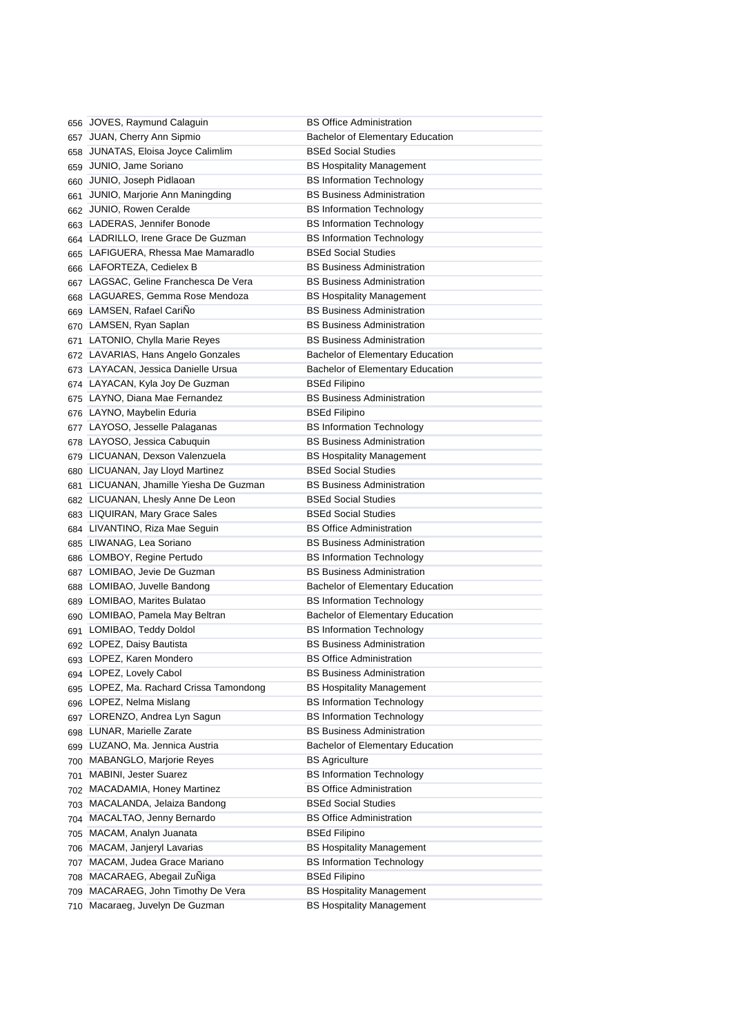|     | 656 JOVES, Raymund Calaguin                            | <b>BS Office Administration</b>         |
|-----|--------------------------------------------------------|-----------------------------------------|
|     | 657 JUAN, Cherry Ann Sipmio                            | <b>Bachelor of Elementary Education</b> |
| 658 | JUNATAS, Eloisa Joyce Calimlim                         | <b>BSEd Social Studies</b>              |
| 659 | JUNIO, Jame Soriano                                    | <b>BS Hospitality Management</b>        |
|     | 660 JUNIO, Joseph Pidlaoan                             | <b>BS Information Technology</b>        |
| 661 | JUNIO, Marjorie Ann Maningding                         | <b>BS Business Administration</b>       |
|     | 662 JUNIO, Rowen Ceralde                               | <b>BS Information Technology</b>        |
|     | 663 LADERAS, Jennifer Bonode                           | <b>BS Information Technology</b>        |
|     | 664 LADRILLO, Irene Grace De Guzman                    | <b>BS Information Technology</b>        |
| 665 | LAFIGUERA, Rhessa Mae Mamaradlo                        | <b>BSEd Social Studies</b>              |
|     | 666 LAFORTEZA, Cedielex B                              | <b>BS Business Administration</b>       |
|     | 667 LAGSAC, Geline Franchesca De Vera                  | <b>BS Business Administration</b>       |
| 668 | LAGUARES, Gemma Rose Mendoza                           | <b>BS Hospitality Management</b>        |
|     | 669 LAMSEN, Rafael CariÑo                              | <b>BS Business Administration</b>       |
|     | 670 LAMSEN, Ryan Saplan                                | <b>BS Business Administration</b>       |
| 671 | LATONIO, Chylla Marie Reyes                            | <b>BS Business Administration</b>       |
|     | 672 LAVARIAS, Hans Angelo Gonzales                     | Bachelor of Elementary Education        |
|     | 673 LAYACAN, Jessica Danielle Ursua                    | Bachelor of Elementary Education        |
|     | 674 LAYACAN, Kyla Joy De Guzman                        | <b>BSEd Filipino</b>                    |
|     | 675 LAYNO, Diana Mae Fernandez                         | <b>BS Business Administration</b>       |
|     | 676 LAYNO, Maybelin Eduria                             | <b>BSEd Filipino</b>                    |
|     | 677 LAYOSO, Jesselle Palaganas                         | <b>BS Information Technology</b>        |
|     | 678 LAYOSO, Jessica Cabuquin                           | <b>BS Business Administration</b>       |
|     | 679 LICUANAN, Dexson Valenzuela                        | <b>BS Hospitality Management</b>        |
|     | 680 LICUANAN, Jay Lloyd Martinez                       | <b>BSEd Social Studies</b>              |
|     | 681 LICUANAN, Jhamille Yiesha De Guzman                | <b>BS Business Administration</b>       |
|     | 682 LICUANAN, Lhesly Anne De Leon                      | <b>BSEd Social Studies</b>              |
|     | 683 LIQUIRAN, Mary Grace Sales                         | <b>BSEd Social Studies</b>              |
|     | 684 LIVANTINO, Riza Mae Seguin                         | <b>BS Office Administration</b>         |
|     | 685 LIWANAG, Lea Soriano                               | <b>BS Business Administration</b>       |
|     | 686 LOMBOY, Regine Pertudo                             | <b>BS Information Technology</b>        |
|     | 687 LOMIBAO, Jevie De Guzman                           | <b>BS Business Administration</b>       |
|     | 688 LOMIBAO, Juvelle Bandong                           | Bachelor of Elementary Education        |
|     | 689 LOMIBAO, Marites Bulatao                           | <b>BS Information Technology</b>        |
|     | 690 LOMIBAO, Pamela May Beltran                        | Bachelor of Elementary Education        |
|     | 691 LOMIBAO, Teddy Doldol                              | <b>BS Information Technology</b>        |
|     | 692 LOPEZ, Daisy Bautista                              | <b>BS Business Administration</b>       |
|     | 693 LOPEZ, Karen Mondero                               | <b>BS Office Administration</b>         |
|     | 694 LOPEZ, Lovely Cabol                                | <b>BS Business Administration</b>       |
|     | 695 LOPEZ, Ma. Rachard Crissa Tamondong                | <b>BS Hospitality Management</b>        |
|     | 696 LOPEZ, Nelma Mislang                               | <b>BS Information Technology</b>        |
|     | 697 LORENZO, Andrea Lyn Sagun                          | <b>BS Information Technology</b>        |
|     | LUNAR, Marielle Zarate                                 | <b>BS Business Administration</b>       |
| 698 | LUZANO, Ma. Jennica Austria                            | Bachelor of Elementary Education        |
| 699 | MABANGLO, Marjorie Reyes                               | <b>BS Agriculture</b>                   |
| 700 | MABINI, Jester Suarez                                  | <b>BS Information Technology</b>        |
| 701 | MACADAMIA, Honey Martinez                              | <b>BS Office Administration</b>         |
| 702 |                                                        | <b>BSEd Social Studies</b>              |
| 703 | MACALANDA, Jelaiza Bandong<br>MACALTAO, Jenny Bernardo |                                         |
| 704 |                                                        | <b>BS Office Administration</b>         |
| 705 | MACAM, Analyn Juanata                                  | <b>BSEd Filipino</b>                    |
|     | 706 MACAM, Janjeryl Lavarias                           | <b>BS Hospitality Management</b>        |
| 707 | MACAM, Judea Grace Mariano                             | <b>BS Information Technology</b>        |
| 708 | MACARAEG, Abegail ZuNiga                               | <b>BSEd Filipino</b>                    |
| 709 | MACARAEG, John Timothy De Vera                         | <b>BS Hospitality Management</b>        |
|     | 710 Macaraeg, Juvelyn De Guzman                        | <b>BS Hospitality Management</b>        |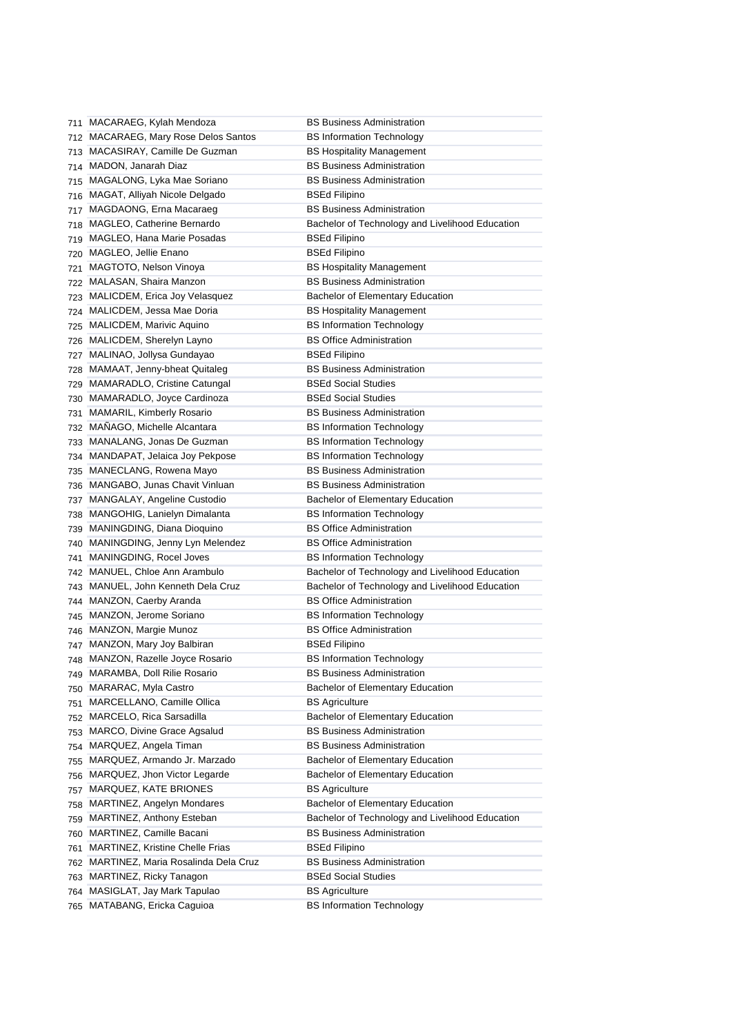|     | 711 MACARAEG, Kylah Mendoza             | <b>BS Business Administration</b>               |
|-----|-----------------------------------------|-------------------------------------------------|
| 712 | <b>MACARAEG, Mary Rose Delos Santos</b> | <b>BS Information Technology</b>                |
| 713 | MACASIRAY, Camille De Guzman            | <b>BS Hospitality Management</b>                |
|     | 714 MADON, Janarah Diaz                 | <b>BS Business Administration</b>               |
| 715 | MAGALONG, Lyka Mae Soriano              | <b>BS Business Administration</b>               |
| 716 | MAGAT, Alliyah Nicole Delgado           | <b>BSEd Filipino</b>                            |
| 717 | MAGDAONG, Erna Macaraeg                 | <b>BS Business Administration</b>               |
| 718 | MAGLEO, Catherine Bernardo              | Bachelor of Technology and Livelihood Education |
| 719 | MAGLEO, Hana Marie Posadas              | <b>BSEd Filipino</b>                            |
| 720 | MAGLEO, Jellie Enano                    | <b>BSEd Filipino</b>                            |
| 721 | MAGTOTO, Nelson Vinoya                  | <b>BS Hospitality Management</b>                |
| 722 | MALASAN, Shaira Manzon                  | <b>BS Business Administration</b>               |
| 723 | MALICDEM, Erica Joy Velasquez           | Bachelor of Elementary Education                |
| 724 | MALICDEM, Jessa Mae Doria               | <b>BS Hospitality Management</b>                |
| 725 | <b>MALICDEM, Marivic Aquino</b>         | <b>BS Information Technology</b>                |
| 726 | MALICDEM, Sherelyn Layno                | <b>BS Office Administration</b>                 |
| 727 | MALINAO, Jollysa Gundayao               | <b>BSEd Filipino</b>                            |
| 728 | MAMAAT, Jenny-bheat Quitaleg            | <b>BS Business Administration</b>               |
| 729 | MAMARADLO, Cristine Catungal            | <b>BSEd Social Studies</b>                      |
| 730 | MAMARADLO, Joyce Cardinoza              | <b>BSEd Social Studies</b>                      |
| 731 | <b>MAMARIL, Kimberly Rosario</b>        | <b>BS Business Administration</b>               |
| 732 | MANAGO, Michelle Alcantara              | <b>BS Information Technology</b>                |
| 733 | MANALANG, Jonas De Guzman               | <b>BS Information Technology</b>                |
| 734 | MANDAPAT, Jelaica Joy Pekpose           | <b>BS Information Technology</b>                |
| 735 | MANECLANG, Rowena Mayo                  | <b>BS Business Administration</b>               |
| 736 | MANGABO, Junas Chavit Vinluan           | <b>BS Business Administration</b>               |
| 737 | MANGALAY, Angeline Custodio             | Bachelor of Elementary Education                |
| 738 | MANGOHIG, Lanielyn Dimalanta            | <b>BS Information Technology</b>                |
| 739 | MANINGDING, Diana Dioquino              | <b>BS Office Administration</b>                 |
| 740 | MANINGDING, Jenny Lyn Melendez          | <b>BS Office Administration</b>                 |
| 741 | MANINGDING, Rocel Joves                 | <b>BS Information Technology</b>                |
|     | 742 MANUEL, Chloe Ann Arambulo          | Bachelor of Technology and Livelihood Education |
|     | 743 MANUEL, John Kenneth Dela Cruz      | Bachelor of Technology and Livelihood Education |
|     | 744 MANZON, Caerby Aranda               | <b>BS Office Administration</b>                 |
| 745 | MANZON, Jerome Soriano                  | <b>BS Information Technology</b>                |
|     | 746 MANZON, Margie Munoz                | <b>BS Office Administration</b>                 |
|     | 747 MANZON, Mary Joy Balbiran           | BSEd Filipino                                   |
|     | 748 MANZON, Razelle Joyce Rosario       | <b>BS Information Technology</b>                |
|     | 749 MARAMBA, Doll Rilie Rosario         | <b>BS Business Administration</b>               |
| 750 | MARARAC, Myla Castro                    | <b>Bachelor of Elementary Education</b>         |
| 751 | MARCELLANO, Camille Ollica              | <b>BS Agriculture</b>                           |
| 752 | MARCELO, Rica Sarsadilla                | Bachelor of Elementary Education                |
| 753 | MARCO, Divine Grace Agsalud             | <b>BS Business Administration</b>               |
| 754 | MARQUEZ, Angela Timan                   | <b>BS Business Administration</b>               |
| 755 | MARQUEZ, Armando Jr. Marzado            | Bachelor of Elementary Education                |
| 756 | MARQUEZ, Jhon Victor Legarde            | Bachelor of Elementary Education                |
| 757 | MARQUEZ, KATE BRIONES                   | <b>BS Agriculture</b>                           |
| 758 | MARTINEZ, Angelyn Mondares              | Bachelor of Elementary Education                |
| 759 | MARTINEZ, Anthony Esteban               | Bachelor of Technology and Livelihood Education |
| 760 | MARTINEZ, Camille Bacani                | <b>BS Business Administration</b>               |
| 761 | MARTINEZ, Kristine Chelle Frias         | <b>BSEd Filipino</b>                            |
| 762 | MARTINEZ, Maria Rosalinda Dela Cruz     | <b>BS Business Administration</b>               |
| 763 | MARTINEZ, Ricky Tanagon                 | <b>BSEd Social Studies</b>                      |
| 764 | MASIGLAT, Jay Mark Tapulao              | <b>BS Agriculture</b>                           |
|     | 765 MATABANG, Ericka Caguioa            | <b>BS Information Technology</b>                |
|     |                                         |                                                 |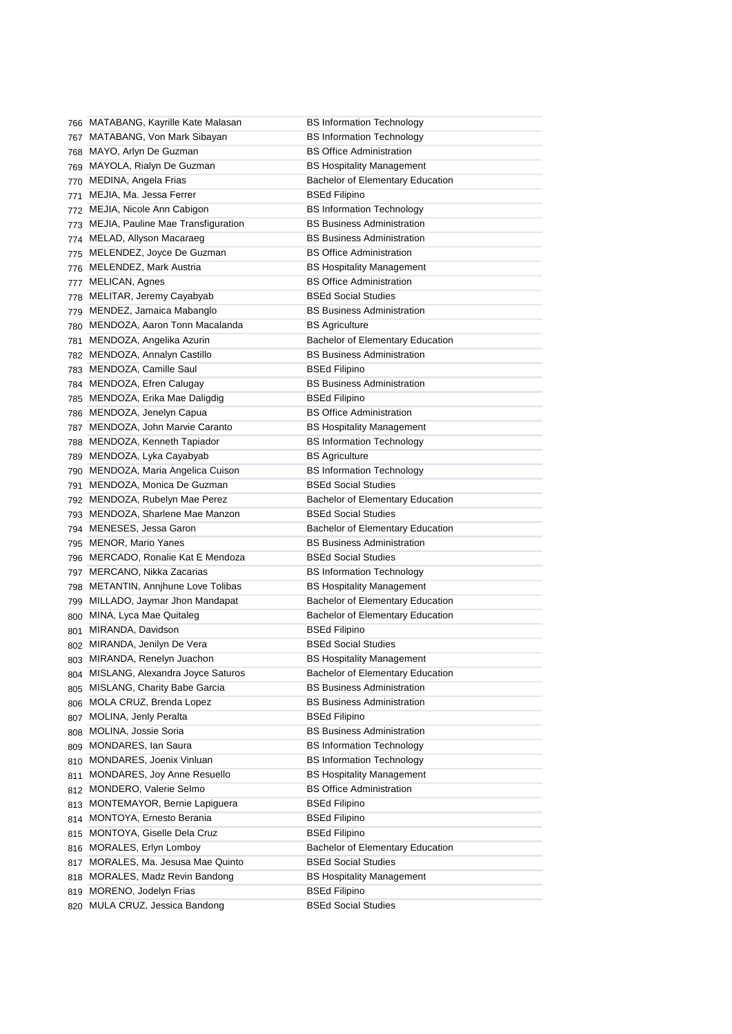|     | 766 MATABANG, Kayrille Kate Malasan                        | <b>BS Information Technology</b>                                            |
|-----|------------------------------------------------------------|-----------------------------------------------------------------------------|
| 767 | MATABANG, Von Mark Sibayan                                 | <b>BS Information Technology</b>                                            |
| 768 | MAYO, Arlyn De Guzman                                      | <b>BS Office Administration</b>                                             |
| 769 | MAYOLA, Rialyn De Guzman                                   | <b>BS Hospitality Management</b>                                            |
| 770 | MEDINA, Angela Frias                                       | Bachelor of Elementary Education                                            |
| 771 | MEJIA, Ma. Jessa Ferrer                                    | <b>BSEd Filipino</b>                                                        |
|     | 772 MEJIA, Nicole Ann Cabigon                              | <b>BS Information Technology</b>                                            |
|     | 773 MEJIA, Pauline Mae Transfiguration                     | <b>BS Business Administration</b>                                           |
|     | 774 MELAD, Allyson Macaraeg                                | <b>BS Business Administration</b>                                           |
| 775 | MELENDEZ, Joyce De Guzman                                  | <b>BS Office Administration</b>                                             |
|     | 776 MELENDEZ, Mark Austria                                 | <b>BS Hospitality Management</b>                                            |
| 777 | MELICAN, Agnes                                             | <b>BS Office Administration</b>                                             |
| 778 | MELITAR, Jeremy Cayabyab                                   | <b>BSEd Social Studies</b>                                                  |
| 779 | MENDEZ, Jamaica Mabanglo                                   | <b>BS Business Administration</b>                                           |
| 780 | MENDOZA, Aaron Tonn Macalanda                              | <b>BS Agriculture</b>                                                       |
| 781 | MENDOZA, Angelika Azurin                                   | Bachelor of Elementary Education                                            |
| 782 | MENDOZA, Annalyn Castillo                                  | <b>BS Business Administration</b>                                           |
| 783 | MENDOZA, Camille Saul                                      | <b>BSEd Filipino</b>                                                        |
| 784 | MENDOZA, Efren Calugay                                     | <b>BS Business Administration</b>                                           |
| 785 | MENDOZA, Erika Mae Daligdig                                | <b>BSEd Filipino</b>                                                        |
| 786 | MENDOZA, Jenelyn Capua                                     | <b>BS Office Administration</b>                                             |
| 787 | MENDOZA, John Marvie Caranto                               | <b>BS Hospitality Management</b>                                            |
| 788 | MENDOZA, Kenneth Tapiador                                  | <b>BS Information Technology</b>                                            |
| 789 | MENDOZA, Lyka Cayabyab                                     | <b>BS Agriculture</b>                                                       |
| 790 | MENDOZA, Maria Angelica Cuison                             | <b>BS Information Technology</b>                                            |
| 791 | MENDOZA, Monica De Guzman                                  | <b>BSEd Social Studies</b>                                                  |
|     | 792 MENDOZA, Rubelyn Mae Perez                             | <b>Bachelor of Elementary Education</b>                                     |
| 793 | MENDOZA, Sharlene Mae Manzon                               | <b>BSEd Social Studies</b>                                                  |
|     | MENESES, Jessa Garon                                       | <b>Bachelor of Elementary Education</b>                                     |
| 794 |                                                            | <b>BS Business Administration</b>                                           |
| 795 | MENOR, Mario Yanes                                         | <b>BSEd Social Studies</b>                                                  |
| 796 | MERCADO, Ronalie Kat E Mendoza                             |                                                                             |
| 797 | MERCANO, Nikka Zacarias<br>METANTIN, Annjhune Love Tolibas | <b>BS Information Technology</b><br><b>BS Hospitality Management</b>        |
| 798 | MILLADO, Jaymar Jhon Mandapat                              |                                                                             |
| 799 |                                                            | Bachelor of Elementary Education<br><b>Bachelor of Elementary Education</b> |
| 800 | MINA, Lyca Mae Quitaleg                                    |                                                                             |
| 801 | MIRANDA, Davidson                                          | <b>BSEd Filipino</b>                                                        |
|     | 802 MIRANDA, Jenilyn De Vera                               | <b>BSEd Social Studies</b>                                                  |
|     | 803 MIRANDA, Renelyn Juachon                               | <b>BS Hospitality Management</b>                                            |
|     | 804 MISLANG, Alexandra Joyce Saturos                       | <b>Bachelor of Elementary Education</b>                                     |
| 805 | MISLANG, Charity Babe Garcia                               |                                                                             |
| 806 |                                                            | <b>BS Business Administration</b>                                           |
| 807 | MOLA CRUZ, Brenda Lopez                                    | <b>BS Business Administration</b>                                           |
|     | MOLINA, Jenly Peralta                                      | <b>BSEd Filipino</b>                                                        |
| 808 | MOLINA, Jossie Soria                                       | <b>BS Business Administration</b>                                           |
| 809 | MONDARES, Ian Saura                                        | <b>BS Information Technology</b>                                            |
| 810 | MONDARES, Joenix Vinluan                                   | <b>BS Information Technology</b>                                            |
| 811 | MONDARES, Joy Anne Resuello                                | <b>BS Hospitality Management</b>                                            |
| 812 | MONDERO, Valerie Selmo                                     | <b>BS Office Administration</b>                                             |
| 813 | MONTEMAYOR, Bernie Lapiguera                               | <b>BSEd Filipino</b>                                                        |
| 814 | MONTOYA, Ernesto Berania                                   | <b>BSEd Filipino</b>                                                        |
| 815 | MONTOYA, Giselle Dela Cruz                                 | <b>BSEd Filipino</b>                                                        |
|     | 816 MORALES, Erlyn Lomboy                                  | Bachelor of Elementary Education                                            |
| 817 | MORALES, Ma. Jesusa Mae Quinto                             | <b>BSEd Social Studies</b>                                                  |
| 818 | MORALES, Madz Revin Bandong                                | <b>BS Hospitality Management</b>                                            |
| 819 | MORENO, Jodelyn Frias                                      | <b>BSEd Filipino</b>                                                        |
| 820 | MULA CRUZ, Jessica Bandong                                 | <b>BSEd Social Studies</b>                                                  |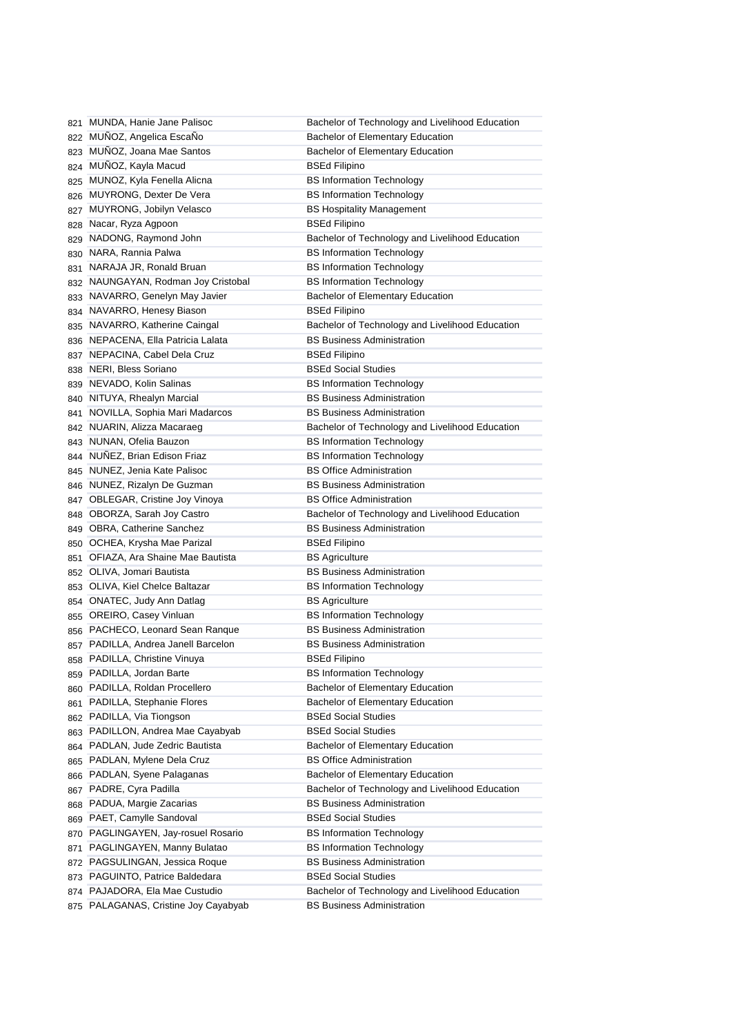|     | 821 MUNDA, Hanie Jane Palisoc        | Bachelor of Technology and Livelihood Education |
|-----|--------------------------------------|-------------------------------------------------|
|     | 822 MUÑOZ, Angelica EscaÑo           | Bachelor of Elementary Education                |
|     | 823 MUÑOZ, Joana Mae Santos          | Bachelor of Elementary Education                |
|     | 824 MUÑOZ, Kayla Macud               | <b>BSEd Filipino</b>                            |
|     | 825 MUNOZ, Kyla Fenella Alicna       | <b>BS Information Technology</b>                |
|     | 826 MUYRONG, Dexter De Vera          | <b>BS Information Technology</b>                |
|     | 827 MUYRONG, Jobilyn Velasco         | <b>BS Hospitality Management</b>                |
|     | 828 Nacar, Ryza Agpoon               | <b>BSEd Filipino</b>                            |
|     | 829 NADONG, Raymond John             | Bachelor of Technology and Livelihood Education |
|     | 830 NARA, Rannia Palwa               | <b>BS Information Technology</b>                |
|     | 831 NARAJA JR, Ronald Bruan          | <b>BS Information Technology</b>                |
|     | 832 NAUNGAYAN, Rodman Joy Cristobal  | <b>BS Information Technology</b>                |
|     | 833 NAVARRO, Genelyn May Javier      | Bachelor of Elementary Education                |
|     | 834 NAVARRO, Henesy Biason           | <b>BSEd Filipino</b>                            |
|     | 835 NAVARRO, Katherine Caingal       | Bachelor of Technology and Livelihood Education |
|     | 836 NEPACENA, Ella Patricia Lalata   | <b>BS Business Administration</b>               |
|     | 837 NEPACINA, Cabel Dela Cruz        | <b>BSEd Filipino</b>                            |
|     | 838 NERI, Bless Soriano              | <b>BSEd Social Studies</b>                      |
|     | 839 NEVADO, Kolin Salinas            | <b>BS Information Technology</b>                |
|     | 840 NITUYA, Rhealyn Marcial          | <b>BS Business Administration</b>               |
|     | 841 NOVILLA, Sophia Mari Madarcos    | <b>BS Business Administration</b>               |
|     | 842 NUARIN, Alizza Macaraeg          | Bachelor of Technology and Livelihood Education |
|     | 843 NUNAN, Ofelia Bauzon             | <b>BS Information Technology</b>                |
|     | 844 NUNEZ, Brian Edison Friaz        | <b>BS Information Technology</b>                |
|     | 845 NUNEZ, Jenia Kate Palisoc        | <b>BS Office Administration</b>                 |
|     | 846 NUNEZ, Rizalyn De Guzman         | <b>BS Business Administration</b>               |
|     | 847 OBLEGAR, Cristine Joy Vinoya     | <b>BS Office Administration</b>                 |
|     | 848 OBORZA, Sarah Joy Castro         | Bachelor of Technology and Livelihood Education |
|     | 849 OBRA, Catherine Sanchez          | <b>BS Business Administration</b>               |
|     | 850 OCHEA, Krysha Mae Parizal        | <b>BSEd Filipino</b>                            |
|     | 851 OFIAZA, Ara Shaine Mae Bautista  | <b>BS Agriculture</b>                           |
|     | 852 OLIVA, Jomari Bautista           | <b>BS Business Administration</b>               |
|     | 853 OLIVA, Kiel Chelce Baltazar      | <b>BS Information Technology</b>                |
|     | 854 ONATEC, Judy Ann Datlag          | <b>BS Agriculture</b>                           |
|     | 855 OREIRO, Casey Vinluan            | <b>BS Information Technology</b>                |
|     | 856 PACHECO, Leonard Sean Ranque     | <b>BS Business Administration</b>               |
|     | 857 PADILLA, Andrea Janell Barcelon  | <b>BS Business Administration</b>               |
|     | 858 PADILLA, Christine Vinuya        | <b>BSEd Filipino</b>                            |
|     | 859 PADILLA, Jordan Barte            | <b>BS Information Technology</b>                |
|     | 860 PADILLA, Roldan Procellero       | Bachelor of Elementary Education                |
| 861 | PADILLA, Stephanie Flores            | Bachelor of Elementary Education                |
|     | 862 PADILLA, Via Tiongson            | <b>BSEd Social Studies</b>                      |
|     | PADILLON, Andrea Mae Cayabyab        | <b>BSEd Social Studies</b>                      |
| 863 | PADLAN, Jude Zedric Bautista         | Bachelor of Elementary Education                |
| 864 | PADLAN, Mylene Dela Cruz             | <b>BS Office Administration</b>                 |
| 865 | PADLAN, Syene Palaganas              | Bachelor of Elementary Education                |
| 866 | PADRE, Cyra Padilla                  | Bachelor of Technology and Livelihood Education |
| 867 |                                      | <b>BS Business Administration</b>               |
| 868 | PADUA, Margie Zacarias               |                                                 |
| 869 | PAET, Camylle Sandoval               | <b>BSEd Social Studies</b>                      |
| 870 | PAGLINGAYEN, Jay-rosuel Rosario      | <b>BS Information Technology</b>                |
| 871 | PAGLINGAYEN, Manny Bulatao           | <b>BS Information Technology</b>                |
| 872 | PAGSULINGAN, Jessica Roque           | <b>BS Business Administration</b>               |
|     | 873 PAGUINTO, Patrice Baldedara      | <b>BSEd Social Studies</b>                      |
|     | 874 PAJADORA, Ela Mae Custudio       | Bachelor of Technology and Livelihood Education |
|     | 875 PALAGANAS, Cristine Joy Cayabyab | <b>BS Business Administration</b>               |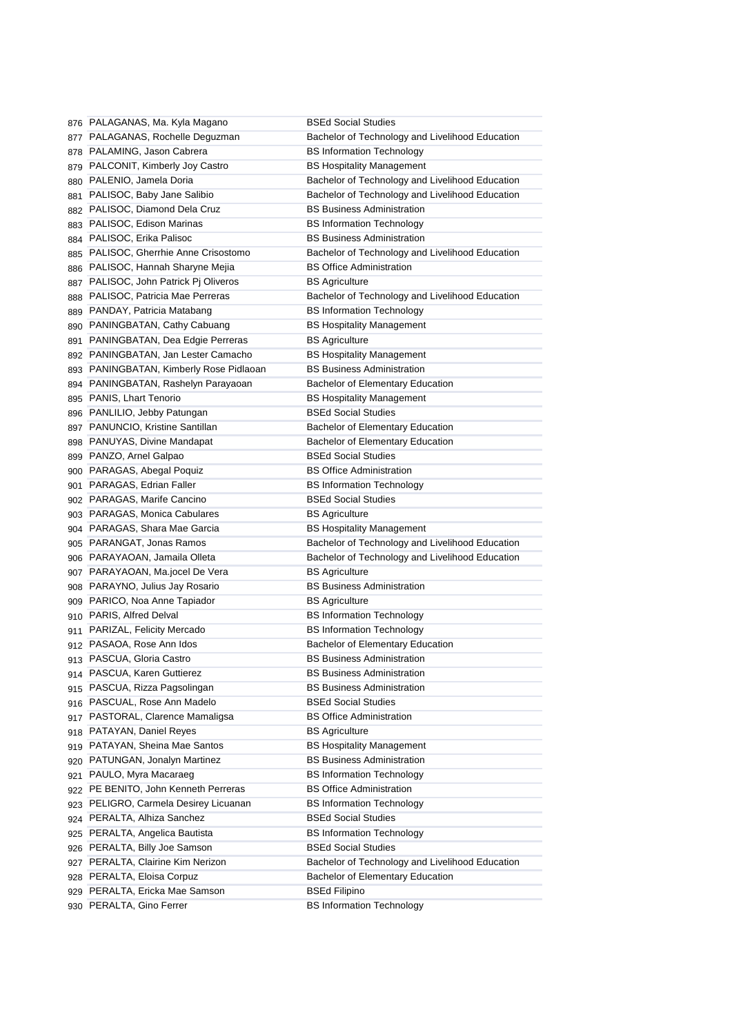|     | 876 PALAGANAS, Ma. Kyla Magano                             | <b>BSEd Social Studies</b>                               |
|-----|------------------------------------------------------------|----------------------------------------------------------|
|     | 877 PALAGANAS, Rochelle Deguzman                           | Bachelor of Technology and Livelihood Education          |
|     | 878 PALAMING, Jason Cabrera                                | <b>BS Information Technology</b>                         |
|     | 879 PALCONIT, Kimberly Joy Castro                          | <b>BS Hospitality Management</b>                         |
|     | 880 PALENIO, Jamela Doria                                  | Bachelor of Technology and Livelihood Education          |
| 881 | PALISOC, Baby Jane Salibio                                 | Bachelor of Technology and Livelihood Education          |
|     | 882 PALISOC, Diamond Dela Cruz                             | <b>BS Business Administration</b>                        |
| 883 | PALISOC, Edison Marinas                                    | <b>BS Information Technology</b>                         |
|     | 884 PALISOC, Erika Palisoc                                 | <b>BS Business Administration</b>                        |
| 885 | PALISOC, Gherrhie Anne Crisostomo                          | Bachelor of Technology and Livelihood Education          |
|     | 886 PALISOC, Hannah Sharyne Mejia                          | <b>BS Office Administration</b>                          |
|     | 887 PALISOC, John Patrick Pj Oliveros                      | <b>BS Agriculture</b>                                    |
|     | 888 PALISOC, Patricia Mae Perreras                         | Bachelor of Technology and Livelihood Education          |
|     | 889 PANDAY, Patricia Matabang                              | <b>BS Information Technology</b>                         |
|     | 890 PANINGBATAN, Cathy Cabuang                             | <b>BS Hospitality Management</b>                         |
|     | 891 PANINGBATAN, Dea Edgie Perreras                        | <b>BS Agriculture</b>                                    |
|     | 892 PANINGBATAN, Jan Lester Camacho                        | <b>BS Hospitality Management</b>                         |
|     | 893 PANINGBATAN, Kimberly Rose Pidlaoan                    | <b>BS Business Administration</b>                        |
|     | 894 PANINGBATAN, Rashelyn Parayaoan                        | <b>Bachelor of Elementary Education</b>                  |
|     | 895 PANIS, Lhart Tenorio                                   | <b>BS Hospitality Management</b>                         |
|     | 896 PANLILIO, Jebby Patungan                               | <b>BSEd Social Studies</b>                               |
|     | 897 PANUNCIO, Kristine Santillan                           | <b>Bachelor of Elementary Education</b>                  |
|     | 898 PANUYAS, Divine Mandapat                               | <b>Bachelor of Elementary Education</b>                  |
|     | 899 PANZO, Arnel Galpao                                    | <b>BSEd Social Studies</b>                               |
|     | 900 PARAGAS, Abegal Poquiz                                 | <b>BS Office Administration</b>                          |
|     | 901 PARAGAS, Edrian Faller                                 | <b>BS Information Technology</b>                         |
|     | 902 PARAGAS, Marife Cancino                                | <b>BSEd Social Studies</b>                               |
|     | 903 PARAGAS, Monica Cabulares                              | <b>BS Agriculture</b>                                    |
|     |                                                            |                                                          |
|     |                                                            |                                                          |
|     | 904 PARAGAS, Shara Mae Garcia                              | <b>BS Hospitality Management</b>                         |
|     | 905 PARANGAT, Jonas Ramos                                  | Bachelor of Technology and Livelihood Education          |
|     | 906 PARAYAOAN, Jamaila Olleta                              | Bachelor of Technology and Livelihood Education          |
|     | 907 PARAYAOAN, Ma.jocel De Vera                            | <b>BS Agriculture</b>                                    |
|     | 908 PARAYNO, Julius Jay Rosario                            | <b>BS Business Administration</b>                        |
|     | 909 PARICO, Noa Anne Tapiador                              | <b>BS Agriculture</b>                                    |
|     | 910 PARIS, Alfred Delval                                   | <b>BS Information Technology</b>                         |
|     | 911 PARIZAL, Felicity Mercado                              | <b>BS Information Technology</b>                         |
|     | 912 PASAOA, Rose Ann Idos                                  | <b>Bachelor of Elementary Education</b>                  |
|     | 913 PASCUA, Gloria Castro                                  | <b>BS Business Administration</b>                        |
|     | 914 PASCUA, Karen Guttierez                                | BS Business Administration                               |
|     | 915 PASCUA, Rizza Pagsolingan                              | <b>BS Business Administration</b>                        |
|     | 916 PASCUAL, Rose Ann Madelo                               | <b>BSEd Social Studies</b>                               |
|     | 917 PASTORAL, Clarence Mamaligsa                           | <b>BS Office Administration</b>                          |
|     | 918 PATAYAN, Daniel Reyes                                  | <b>BS Agriculture</b>                                    |
|     | 919 PATAYAN, Sheina Mae Santos                             | <b>BS Hospitality Management</b>                         |
|     | 920 PATUNGAN, Jonalyn Martinez                             | <b>BS Business Administration</b>                        |
|     | 921 PAULO, Myra Macaraeg                                   | <b>BS Information Technology</b>                         |
|     | 922 PE BENITO, John Kenneth Perreras                       | <b>BS Office Administration</b>                          |
|     | 923 PELIGRO, Carmela Desirey Licuanan                      | <b>BS Information Technology</b>                         |
|     | 924 PERALTA, Alhiza Sanchez                                | <b>BSEd Social Studies</b>                               |
|     | 925 PERALTA, Angelica Bautista                             | <b>BS Information Technology</b>                         |
|     | 926 PERALTA, Billy Joe Samson                              | <b>BSEd Social Studies</b>                               |
|     | 927 PERALTA, Clairine Kim Nerizon                          | Bachelor of Technology and Livelihood Education          |
|     | 928 PERALTA, Eloisa Corpuz                                 | Bachelor of Elementary Education                         |
|     | 929 PERALTA, Ericka Mae Samson<br>930 PERALTA, Gino Ferrer | <b>BSEd Filipino</b><br><b>BS Information Technology</b> |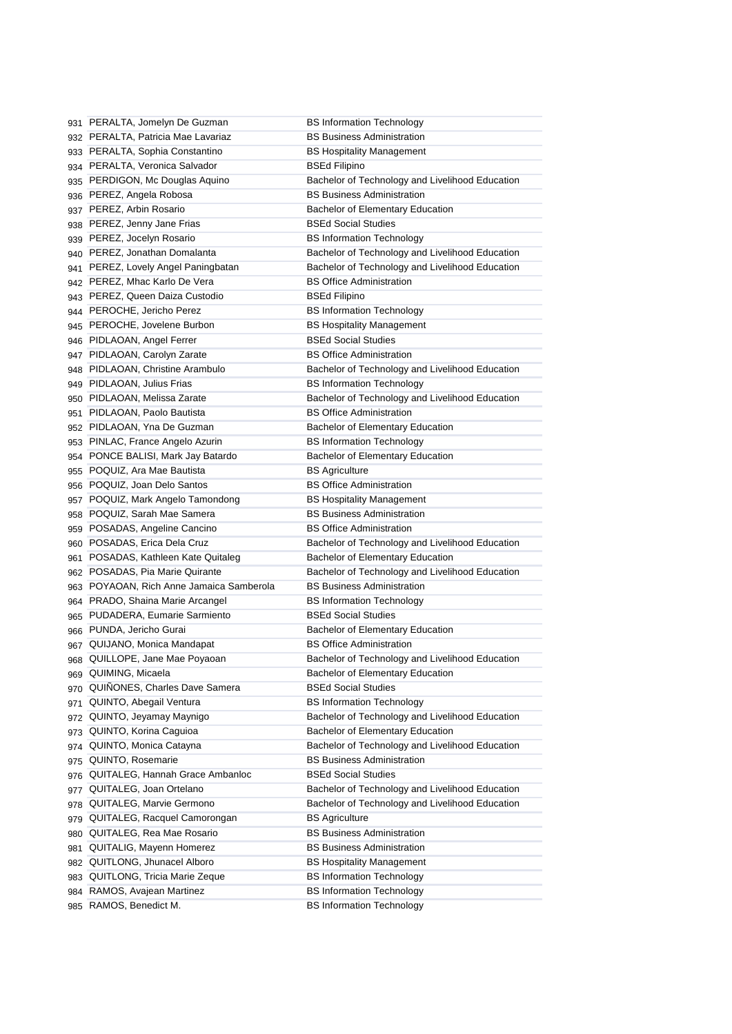|     | 931 PERALTA, Jomelyn De Guzman                        | <b>BS Information Technology</b>                                     |
|-----|-------------------------------------------------------|----------------------------------------------------------------------|
|     | 932 PERALTA, Patricia Mae Lavariaz                    | <b>BS Business Administration</b>                                    |
|     | 933 PERALTA, Sophia Constantino                       | <b>BS Hospitality Management</b>                                     |
|     | 934 PERALTA, Veronica Salvador                        | <b>BSEd Filipino</b>                                                 |
|     | 935 PERDIGON, Mc Douglas Aquino                       | Bachelor of Technology and Livelihood Education                      |
|     | 936 PEREZ, Angela Robosa                              | <b>BS Business Administration</b>                                    |
|     | 937 PEREZ, Arbin Rosario                              | <b>Bachelor of Elementary Education</b>                              |
|     | 938 PEREZ, Jenny Jane Frias                           | <b>BSEd Social Studies</b>                                           |
|     | 939 PEREZ, Jocelyn Rosario                            | <b>BS Information Technology</b>                                     |
|     | 940 PEREZ, Jonathan Domalanta                         | Bachelor of Technology and Livelihood Education                      |
|     | 941 PEREZ, Lovely Angel Paningbatan                   | Bachelor of Technology and Livelihood Education                      |
|     | 942 PEREZ, Mhac Karlo De Vera                         | <b>BS Office Administration</b>                                      |
|     | 943 PEREZ, Queen Daiza Custodio                       | <b>BSEd Filipino</b>                                                 |
|     | 944 PEROCHE, Jericho Perez                            | <b>BS Information Technology</b>                                     |
|     | 945 PEROCHE, Jovelene Burbon                          | <b>BS Hospitality Management</b>                                     |
|     | 946 PIDLAOAN, Angel Ferrer                            | <b>BSEd Social Studies</b>                                           |
|     | 947 PIDLAOAN, Carolyn Zarate                          | <b>BS Office Administration</b>                                      |
|     | 948 PIDLAOAN, Christine Arambulo                      | Bachelor of Technology and Livelihood Education                      |
|     | 949 PIDLAOAN, Julius Frias                            | <b>BS Information Technology</b>                                     |
|     | 950 PIDLAOAN, Melissa Zarate                          | Bachelor of Technology and Livelihood Education                      |
|     | 951 PIDLAOAN, Paolo Bautista                          | <b>BS Office Administration</b>                                      |
|     | 952 PIDLAOAN, Yna De Guzman                           | <b>Bachelor of Elementary Education</b>                              |
|     | 953 PINLAC, France Angelo Azurin                      | <b>BS Information Technology</b>                                     |
|     | 954 PONCE BALISI, Mark Jay Batardo                    | <b>Bachelor of Elementary Education</b>                              |
| 955 | POQUIZ, Ara Mae Bautista                              | <b>BS Agriculture</b>                                                |
|     | 956 POQUIZ, Joan Delo Santos                          | <b>BS Office Administration</b>                                      |
|     | 957 POQUIZ, Mark Angelo Tamondong                     | <b>BS Hospitality Management</b>                                     |
|     | 958 POQUIZ, Sarah Mae Samera                          | <b>BS Business Administration</b>                                    |
|     |                                                       |                                                                      |
|     |                                                       |                                                                      |
|     | 959 POSADAS, Angeline Cancino                         | <b>BS Office Administration</b>                                      |
|     | 960 POSADAS, Erica Dela Cruz                          | Bachelor of Technology and Livelihood Education                      |
| 961 | POSADAS, Kathleen Kate Quitaleg                       | Bachelor of Elementary Education                                     |
|     | 962 POSADAS, Pia Marie Quirante                       | Bachelor of Technology and Livelihood Education                      |
|     | 963 POYAOAN, Rich Anne Jamaica Samberola              | <b>BS Business Administration</b>                                    |
|     | 964 PRADO, Shaina Marie Arcangel                      | <b>BS Information Technology</b>                                     |
|     | 965 PUDADERA, Eumarie Sarmiento                       | <b>BSEd Social Studies</b>                                           |
|     | 966 PUNDA, Jericho Gurai                              | Bachelor of Elementary Education                                     |
|     | 967 QUIJANO, Monica Mandapat                          | <b>BS Office Administration</b>                                      |
|     | 968 QUILLOPE, Jane Mae Poyaoan                        | Bachelor of Technology and Livelihood Education                      |
|     | 969 QUIMING, Micaela                                  | <b>Bachelor of Elementary Education</b>                              |
|     | 970 QUIÑONES, Charles Dave Samera                     | <b>BSEd Social Studies</b>                                           |
|     | 971 QUINTO, Abegail Ventura                           | <b>BS Information Technology</b>                                     |
|     | 972 QUINTO, Jeyamay Maynigo                           | Bachelor of Technology and Livelihood Education                      |
|     | 973 QUINTO, Korina Caguioa                            | <b>Bachelor of Elementary Education</b>                              |
|     | 974 QUINTO, Monica Catayna                            | Bachelor of Technology and Livelihood Education                      |
|     | 975 QUINTO, Rosemarie                                 | <b>BS Business Administration</b>                                    |
|     | 976 QUITALEG, Hannah Grace Ambanloc                   | <b>BSEd Social Studies</b>                                           |
|     | 977 QUITALEG, Joan Ortelano                           | Bachelor of Technology and Livelihood Education                      |
|     | 978 QUITALEG, Marvie Germono                          | Bachelor of Technology and Livelihood Education                      |
| 979 | QUITALEG, Racquel Camorongan                          | <b>BS Agriculture</b>                                                |
| 980 | QUITALEG, Rea Mae Rosario                             | <b>BS Business Administration</b>                                    |
| 981 | QUITALIG, Mayenn Homerez                              | <b>BS Business Administration</b>                                    |
|     | 982 QUITLONG, Jhunacel Alboro                         | <b>BS Hospitality Management</b>                                     |
|     | 983 QUITLONG, Tricia Marie Zeque                      | <b>BS Information Technology</b>                                     |
|     | 984 RAMOS, Avajean Martinez<br>985 RAMOS, Benedict M. | <b>BS Information Technology</b><br><b>BS Information Technology</b> |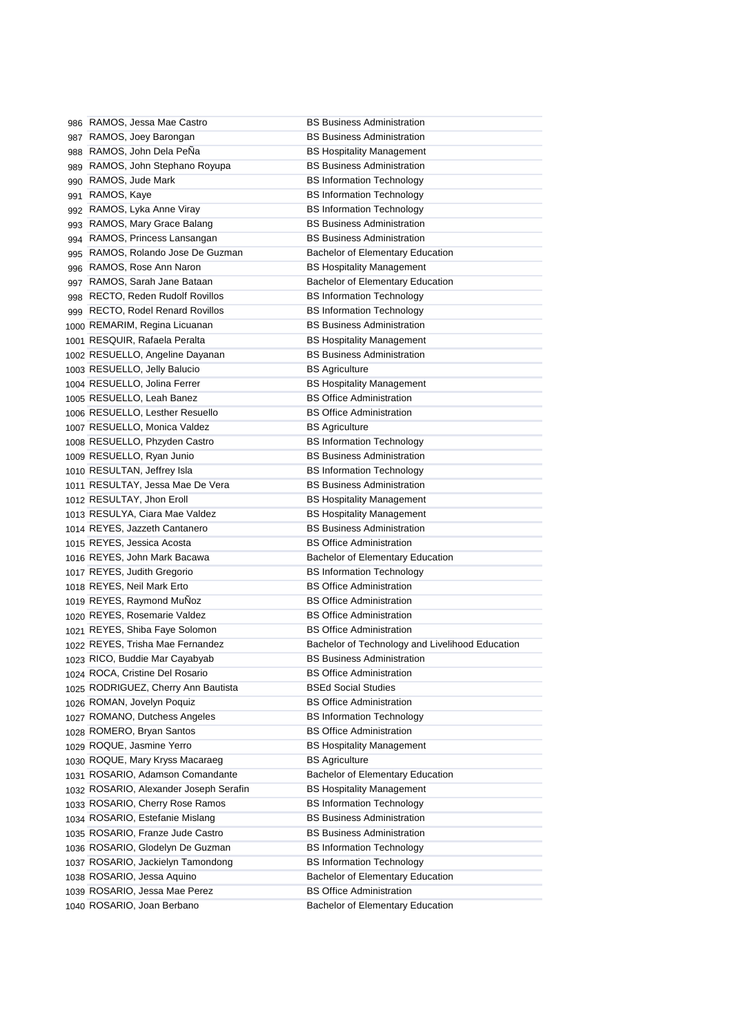| 986 RAMOS, Jessa Mae Castro             | <b>BS Business Administration</b>               |
|-----------------------------------------|-------------------------------------------------|
| 987 RAMOS, Joey Barongan                | <b>BS Business Administration</b>               |
| 988 RAMOS, John Dela PeÑa               | <b>BS Hospitality Management</b>                |
| 989 RAMOS, John Stephano Royupa         | <b>BS Business Administration</b>               |
| 990 RAMOS, Jude Mark                    | <b>BS Information Technology</b>                |
| 991 RAMOS, Kaye                         | <b>BS Information Technology</b>                |
| 992 RAMOS, Lyka Anne Viray              | <b>BS Information Technology</b>                |
| 993 RAMOS, Mary Grace Balang            | <b>BS Business Administration</b>               |
| 994 RAMOS, Princess Lansangan           | <b>BS Business Administration</b>               |
| 995 RAMOS, Rolando Jose De Guzman       | <b>Bachelor of Elementary Education</b>         |
| 996 RAMOS, Rose Ann Naron               | <b>BS Hospitality Management</b>                |
| 997 RAMOS, Sarah Jane Bataan            | Bachelor of Elementary Education                |
| 998 RECTO, Reden Rudolf Rovillos        | <b>BS Information Technology</b>                |
| 999 RECTO, Rodel Renard Rovillos        | <b>BS Information Technology</b>                |
| 1000 REMARIM, Regina Licuanan           | <b>BS Business Administration</b>               |
| 1001 RESQUIR, Rafaela Peralta           | <b>BS Hospitality Management</b>                |
| 1002 RESUELLO, Angeline Dayanan         | <b>BS Business Administration</b>               |
| 1003 RESUELLO, Jelly Balucio            | <b>BS Agriculture</b>                           |
| 1004 RESUELLO, Jolina Ferrer            | <b>BS Hospitality Management</b>                |
| 1005 RESUELLO, Leah Banez               | <b>BS Office Administration</b>                 |
| 1006 RESUELLO, Lesther Resuello         | <b>BS Office Administration</b>                 |
| 1007 RESUELLO, Monica Valdez            | <b>BS Agriculture</b>                           |
| 1008 RESUELLO, Phzyden Castro           | <b>BS Information Technology</b>                |
| 1009 RESUELLO, Ryan Junio               | <b>BS Business Administration</b>               |
| 1010 RESULTAN, Jeffrey Isla             | <b>BS Information Technology</b>                |
| 1011 RESULTAY, Jessa Mae De Vera        | <b>BS Business Administration</b>               |
| 1012 RESULTAY, Jhon Eroll               | <b>BS Hospitality Management</b>                |
| 1013 RESULYA, Ciara Mae Valdez          | <b>BS Hospitality Management</b>                |
| 1014 REYES, Jazzeth Cantanero           | <b>BS Business Administration</b>               |
| 1015 REYES, Jessica Acosta              | <b>BS Office Administration</b>                 |
| <sub>1016</sub> REYES, John Mark Bacawa | Bachelor of Elementary Education                |
| 1017 REYES, Judith Gregorio             | <b>BS Information Technology</b>                |
| 1018 REYES, Neil Mark Erto              | <b>BS Office Administration</b>                 |
| 1019 REYES, Raymond MuÑoz               | <b>BS Office Administration</b>                 |
| 1020 REYES, Rosemarie Valdez            | <b>BS Office Administration</b>                 |
| 1021 REYES, Shiba Faye Solomon          | <b>BS Office Administration</b>                 |
| 1022 REYES, Trisha Mae Fernandez        | Bachelor of Technology and Livelihood Education |
| 1023 RICO, Buddie Mar Cayabyab          | <b>BS Business Administration</b>               |
| 1024 ROCA, Cristine Del Rosario         | <b>BS Office Administration</b>                 |
| 1025 RODRIGUEZ, Cherry Ann Bautista     | <b>BSEd Social Studies</b>                      |
| 1026 ROMAN, Jovelyn Poquiz              | <b>BS Office Administration</b>                 |
| 1027 ROMANO, Dutchess Angeles           | <b>BS Information Technology</b>                |
| 1028 ROMERO, Bryan Santos               | <b>BS Office Administration</b>                 |
| 1029 ROQUE, Jasmine Yerro               | <b>BS Hospitality Management</b>                |
| 1030 ROQUE, Mary Kryss Macaraeg         | <b>BS Agriculture</b>                           |
| 1031 ROSARIO, Adamson Comandante        | <b>Bachelor of Elementary Education</b>         |
| 1032 ROSARIO, Alexander Joseph Serafin  | <b>BS Hospitality Management</b>                |
| 1033 ROSARIO, Cherry Rose Ramos         | <b>BS Information Technology</b>                |
| 1034 ROSARIO, Estefanie Mislang         | <b>BS Business Administration</b>               |
| 1035 ROSARIO, Franze Jude Castro        | <b>BS Business Administration</b>               |
| 1036 ROSARIO, Glodelyn De Guzman        | <b>BS Information Technology</b>                |
| 1037 ROSARIO, Jackielyn Tamondong       | <b>BS Information Technology</b>                |
| 1038 ROSARIO, Jessa Aquino              | Bachelor of Elementary Education                |
| 1039 ROSARIO, Jessa Mae Perez           | <b>BS Office Administration</b>                 |
| 1040 ROSARIO, Joan Berbano              | Bachelor of Elementary Education                |
|                                         |                                                 |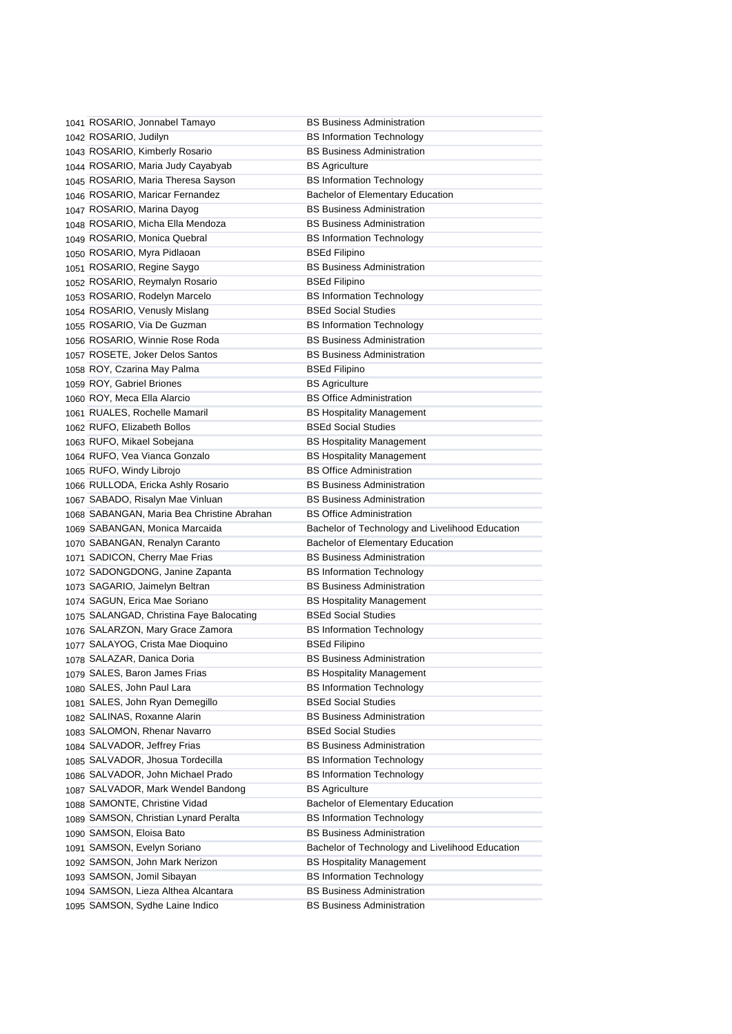| 1041 ROSARIO, Jonnabel Tamayo              | <b>BS Business Administration</b>               |
|--------------------------------------------|-------------------------------------------------|
| 1042 ROSARIO, Judilyn                      | <b>BS Information Technology</b>                |
| 1043 ROSARIO, Kimberly Rosario             | <b>BS Business Administration</b>               |
| 1044 ROSARIO, Maria Judy Cayabyab          | <b>BS Agriculture</b>                           |
| 1045 ROSARIO, Maria Theresa Sayson         | <b>BS Information Technology</b>                |
| 1046 ROSARIO, Maricar Fernandez            | Bachelor of Elementary Education                |
| 1047 ROSARIO, Marina Dayog                 | <b>BS Business Administration</b>               |
| 1048 ROSARIO, Micha Ella Mendoza           | <b>BS Business Administration</b>               |
| 1049 ROSARIO, Monica Quebral               | <b>BS Information Technology</b>                |
| 1050 ROSARIO, Myra Pidlaoan                | <b>BSEd Filipino</b>                            |
| 1051 ROSARIO, Regine Saygo                 | <b>BS Business Administration</b>               |
| 1052 ROSARIO, Reymalyn Rosario             | <b>BSEd Filipino</b>                            |
| 1053 ROSARIO, Rodelyn Marcelo              | <b>BS Information Technology</b>                |
| 1054 ROSARIO, Venusly Mislang              | <b>BSEd Social Studies</b>                      |
| 1055 ROSARIO, Via De Guzman                | <b>BS Information Technology</b>                |
| 1056 ROSARIO, Winnie Rose Roda             | <b>BS Business Administration</b>               |
| 1057 ROSETE, Joker Delos Santos            | <b>BS Business Administration</b>               |
| 1058 ROY, Czarina May Palma                | <b>BSEd Filipino</b>                            |
| 1059 ROY, Gabriel Briones                  | <b>BS Agriculture</b>                           |
| 1060 ROY, Meca Ella Alarcio                | <b>BS Office Administration</b>                 |
| 1061 RUALES, Rochelle Mamaril              | <b>BS Hospitality Management</b>                |
| 1062 RUFO, Elizabeth Bollos                | <b>BSEd Social Studies</b>                      |
| 1063 RUFO, Mikael Sobejana                 | <b>BS Hospitality Management</b>                |
| 1064 RUFO, Vea Vianca Gonzalo              | <b>BS Hospitality Management</b>                |
| 1065 RUFO, Windy Librojo                   | <b>BS Office Administration</b>                 |
| 1066 RULLODA, Ericka Ashly Rosario         | <b>BS Business Administration</b>               |
| 1067 SABADO, Risalyn Mae Vinluan           | <b>BS Business Administration</b>               |
|                                            |                                                 |
| 1068 SABANGAN, Maria Bea Christine Abrahan | <b>BS Office Administration</b>                 |
| 1069 SABANGAN, Monica Marcaida             | Bachelor of Technology and Livelihood Education |
| 1070 SABANGAN, Renalyn Caranto             | <b>Bachelor of Elementary Education</b>         |
| 1071 SADICON, Cherry Mae Frias             | <b>BS Business Administration</b>               |
| 1072 SADONGDONG, Janine Zapanta            | <b>BS Information Technology</b>                |
| 1073 SAGARIO, Jaimelyn Beltran             | <b>BS Business Administration</b>               |
| 1074 SAGUN, Erica Mae Soriano              | <b>BS Hospitality Management</b>                |
| 1075 SALANGAD, Christina Faye Balocating   | <b>BSEd Social Studies</b>                      |
| 1076 SALARZON, Mary Grace Zamora           | <b>BS Information Technology</b>                |
| 1077 SALAYOG, Crista Mae Dioquino          | <b>BSEd Filipino</b>                            |
| 1078 SALAZAR, Danica Doria                 | <b>BS Business Administration</b>               |
| 1079 SALES, Baron James Frias              | <b>BS Hospitality Management</b>                |
| 1080 SALES, John Paul Lara                 | <b>BS Information Technology</b>                |
| 1081 SALES, John Ryan Demegillo            | <b>BSEd Social Studies</b>                      |
| 1082 SALINAS, Roxanne Alarin               | <b>BS Business Administration</b>               |
| 1083 SALOMON, Rhenar Navarro               | <b>BSEd Social Studies</b>                      |
| 1084 SALVADOR, Jeffrey Frias               | <b>BS Business Administration</b>               |
| 1085 SALVADOR, Jhosua Tordecilla           | <b>BS Information Technology</b>                |
| 1086 SALVADOR, John Michael Prado          | <b>BS Information Technology</b>                |
| 1087 SALVADOR, Mark Wendel Bandong         | <b>BS Agriculture</b>                           |
| 1088 SAMONTE, Christine Vidad              | Bachelor of Elementary Education                |
| 1089 SAMSON, Christian Lynard Peralta      | <b>BS Information Technology</b>                |
| 1090 SAMSON, Eloisa Bato                   | <b>BS Business Administration</b>               |
| 1091 SAMSON, Evelyn Soriano                | Bachelor of Technology and Livelihood Education |
| 1092 SAMSON, John Mark Nerizon             | <b>BS Hospitality Management</b>                |
| 1093 SAMSON, Jomil Sibayan                 | <b>BS Information Technology</b>                |
| 1094 SAMSON, Lieza Althea Alcantara        | <b>BS Business Administration</b>               |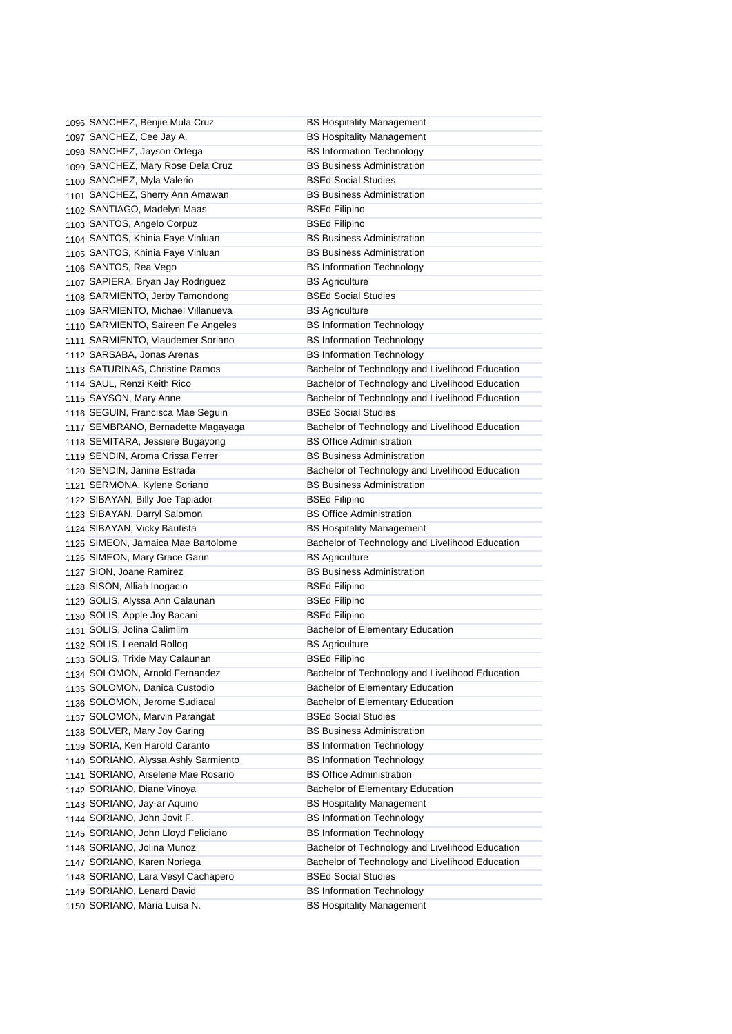| 1096 SANCHEZ, Benjie Mula Cruz       | <b>BS Hospitality Management</b>                |
|--------------------------------------|-------------------------------------------------|
|                                      |                                                 |
| 1097 SANCHEZ, Cee Jay A.             | <b>BS Hospitality Management</b>                |
| 1098 SANCHEZ, Jayson Ortega          | <b>BS Information Technology</b>                |
| 1099 SANCHEZ, Mary Rose Dela Cruz    | <b>BS Business Administration</b>               |
| 1100 SANCHEZ, Myla Valerio           | <b>BSEd Social Studies</b>                      |
| 1101 SANCHEZ, Sherry Ann Amawan      | <b>BS Business Administration</b>               |
| 1102 SANTIAGO, Madelyn Maas          | <b>BSEd Filipino</b>                            |
| 1103 SANTOS, Angelo Corpuz           | <b>BSEd Filipino</b>                            |
| 1104 SANTOS, Khinia Faye Vinluan     | <b>BS Business Administration</b>               |
| 1105 SANTOS, Khinia Faye Vinluan     | <b>BS Business Administration</b>               |
| 1106 SANTOS, Rea Vego                | <b>BS Information Technology</b>                |
| 1107 SAPIERA, Bryan Jay Rodriguez    | <b>BS Agriculture</b>                           |
| 1108 SARMIENTO, Jerby Tamondong      | <b>BSEd Social Studies</b>                      |
| 1109 SARMIENTO, Michael Villanueva   | <b>BS Agriculture</b>                           |
| 1110 SARMIENTO, Saireen Fe Angeles   | <b>BS Information Technology</b>                |
| 1111 SARMIENTO, Vlaudemer Soriano    | <b>BS Information Technology</b>                |
| 1112 SARSABA, Jonas Arenas           | <b>BS Information Technology</b>                |
| 1113 SATURINAS, Christine Ramos      | Bachelor of Technology and Livelihood Education |
| 1114 SAUL, Renzi Keith Rico          | Bachelor of Technology and Livelihood Education |
| 1115 SAYSON, Mary Anne               | Bachelor of Technology and Livelihood Education |
| 1116 SEGUIN, Francisca Mae Seguin    | <b>BSEd Social Studies</b>                      |
| 1117 SEMBRANO, Bernadette Magayaga   | Bachelor of Technology and Livelihood Education |
| 1118 SEMITARA, Jessiere Bugayong     | <b>BS Office Administration</b>                 |
| 1119 SENDIN, Aroma Crissa Ferrer     | <b>BS Business Administration</b>               |
| 1120 SENDIN, Janine Estrada          | Bachelor of Technology and Livelihood Education |
| 1121 SERMONA, Kylene Soriano         | <b>BS Business Administration</b>               |
| 1122 SIBAYAN, Billy Joe Tapiador     | <b>BSEd Filipino</b>                            |
| 1123 SIBAYAN, Darryl Salomon         | <b>BS Office Administration</b>                 |
| 1124 SIBAYAN, Vicky Bautista         | <b>BS Hospitality Management</b>                |
| 1125 SIMEON, Jamaica Mae Bartolome   | Bachelor of Technology and Livelihood Education |
| 1126 SIMEON, Mary Grace Garin        | <b>BS Agriculture</b>                           |
| 1127 SION, Joane Ramirez             | <b>BS Business Administration</b>               |
| 1128 SISON, Alliah Inogacio          | <b>BSEd Filipino</b>                            |
| 1129 SOLIS, Alyssa Ann Calaunan      | <b>BSEd Filipino</b>                            |
| 1130 SOLIS, Apple Joy Bacani         | <b>BSEd Filipino</b>                            |
| 1131 SOLIS, Jolina Calimlim          | <b>Bachelor of Elementary Education</b>         |
| 1132 SOLIS, Leenald Rollog           | <b>BS Agriculture</b>                           |
| 1133 SOLIS, Trixie May Calaunan      | <b>BSEd Filipino</b>                            |
| 1134 SOLOMON, Arnold Fernandez       | Bachelor of Technology and Livelihood Education |
| 1135 SOLOMON, Danica Custodio        | Bachelor of Elementary Education                |
| 1136 SOLOMON, Jerome Sudiacal        | Bachelor of Elementary Education                |
| 1137 SOLOMON, Marvin Parangat        | <b>BSEd Social Studies</b>                      |
|                                      | <b>BS Business Administration</b>               |
| 1138 SOLVER, Mary Joy Garing         |                                                 |
| 1139 SORIA, Ken Harold Caranto       | <b>BS Information Technology</b>                |
| 1140 SORIANO, Alyssa Ashly Sarmiento | <b>BS Information Technology</b>                |
| 1141 SORIANO, Arselene Mae Rosario   | <b>BS Office Administration</b>                 |
| 1142 SORIANO, Diane Vinoya           | Bachelor of Elementary Education                |
| 1143 SORIANO, Jay-ar Aquino          | <b>BS Hospitality Management</b>                |
| 1144 SORIANO, John Jovit F.          | <b>BS Information Technology</b>                |
| 1145 SORIANO, John Lloyd Feliciano   | <b>BS Information Technology</b>                |
| 1146 SORIANO, Jolina Munoz           | Bachelor of Technology and Livelihood Education |
| 1147 SORIANO, Karen Noriega          | Bachelor of Technology and Livelihood Education |
| 1148 SORIANO, Lara Vesyl Cachapero   | <b>BSEd Social Studies</b>                      |
| 1149 SORIANO, Lenard David           | <b>BS Information Technology</b>                |
| 1150 SORIANO, Maria Luisa N.         | <b>BS Hospitality Management</b>                |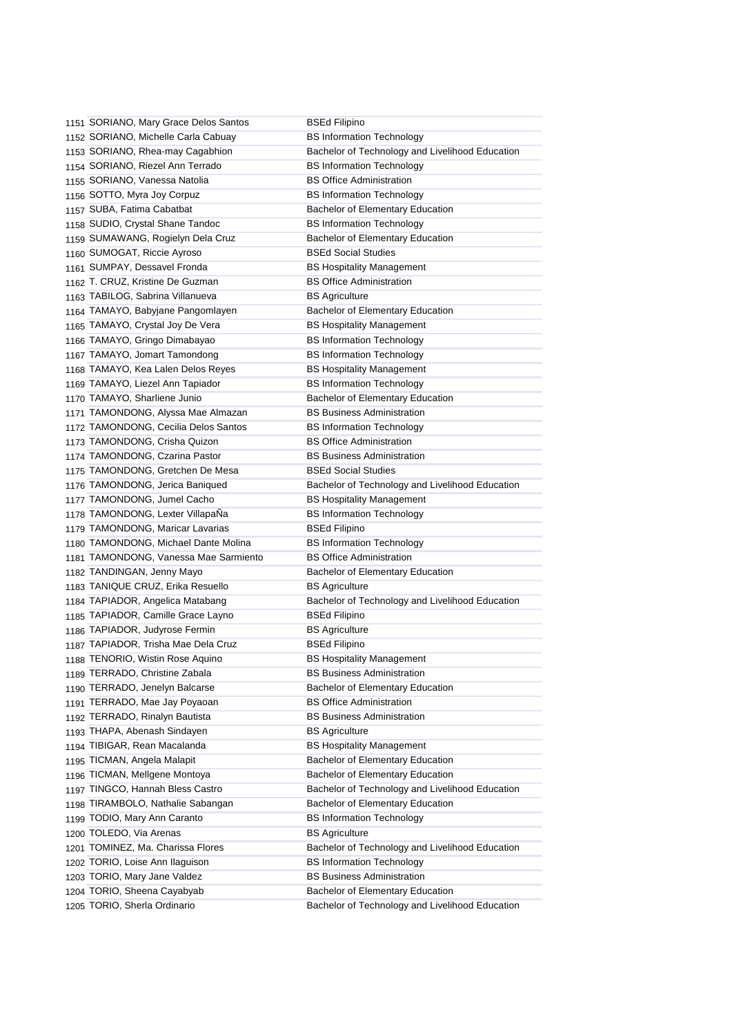| 1151 SORIANO, Mary Grace Delos Santos | <b>BSEd Filipino</b>                            |
|---------------------------------------|-------------------------------------------------|
| 1152 SORIANO, Michelle Carla Cabuay   | <b>BS Information Technology</b>                |
| 1153 SORIANO, Rhea-may Cagabhion      | Bachelor of Technology and Livelihood Education |
| 1154 SORIANO, Riezel Ann Terrado      | <b>BS Information Technology</b>                |
| 1155 SORIANO, Vanessa Natolia         | <b>BS Office Administration</b>                 |
| 1156 SOTTO, Myra Joy Corpuz           | <b>BS Information Technology</b>                |
| 1157 SUBA, Fatima Cabatbat            | Bachelor of Elementary Education                |
| 1158 SUDIO, Crystal Shane Tandoc      | <b>BS Information Technology</b>                |
| 1159 SUMAWANG, Rogielyn Dela Cruz     | Bachelor of Elementary Education                |
| 1160 SUMOGAT, Riccie Ayroso           | <b>BSEd Social Studies</b>                      |
| 1161 SUMPAY, Dessavel Fronda          | <b>BS Hospitality Management</b>                |
| 1162 T. CRUZ, Kristine De Guzman      | <b>BS Office Administration</b>                 |
| 1163 TABILOG, Sabrina Villanueva      | <b>BS Agriculture</b>                           |
| 1164 TAMAYO, Babyjane Pangomlayen     | Bachelor of Elementary Education                |
| 1165 TAMAYO, Crystal Joy De Vera      | <b>BS Hospitality Management</b>                |
| 1166 TAMAYO, Gringo Dimabayao         | <b>BS Information Technology</b>                |
| 1167 TAMAYO, Jomart Tamondong         | <b>BS Information Technology</b>                |
| 1168 TAMAYO, Kea Lalen Delos Reyes    | <b>BS Hospitality Management</b>                |
| 1169 TAMAYO, Liezel Ann Tapiador      | <b>BS Information Technology</b>                |
| 1170 TAMAYO, Sharliene Junio          | Bachelor of Elementary Education                |
| 1171 TAMONDONG, Alyssa Mae Almazan    | <b>BS Business Administration</b>               |
| 1172 TAMONDONG, Cecilia Delos Santos  | <b>BS Information Technology</b>                |
| 1173 TAMONDONG, Crisha Quizon         | <b>BS Office Administration</b>                 |
| 1174 TAMONDONG, Czarina Pastor        | <b>BS Business Administration</b>               |
| 1175 TAMONDONG, Gretchen De Mesa      | <b>BSEd Social Studies</b>                      |
| 1176 TAMONDONG, Jerica Baniqued       | Bachelor of Technology and Livelihood Education |
| 1177 TAMONDONG, Jumel Cacho           | <b>BS Hospitality Management</b>                |
| 1178 TAMONDONG, Lexter VillapaNa      | <b>BS Information Technology</b>                |
| 1179 TAMONDONG, Maricar Lavarias      | <b>BSEd Filipino</b>                            |
| 1180 TAMONDONG, Michael Dante Molina  | <b>BS Information Technology</b>                |
| 1181 TAMONDONG, Vanessa Mae Sarmiento | <b>BS Office Administration</b>                 |
| 1182 TANDINGAN, Jenny Mayo            | Bachelor of Elementary Education                |
| 1183 TANIQUE CRUZ, Erika Resuello     | <b>BS Agriculture</b>                           |
| 1184 TAPIADOR, Angelica Matabang      | Bachelor of Technology and Livelihood Education |
| 1185 TAPIADOR, Camille Grace Layno    | <b>BSEd Filipino</b>                            |
| 1186 TAPIADOR, Judyrose Fermin        | <b>BS Agriculture</b>                           |
| 1187 TAPIADOR, Trisha Mae Dela Cruz   | <b>BSEd Filipino</b>                            |
| 1188 TENORIO, Wistin Rose Aquino      | <b>BS Hospitality Management</b>                |
| 1189 TERRADO, Christine Zabala        | <b>BS Business Administration</b>               |
| 1190 TERRADO, Jenelyn Balcarse        | <b>Bachelor of Elementary Education</b>         |
| 1191 TERRADO, Mae Jay Poyaoan         | <b>BS Office Administration</b>                 |
| 1192 TERRADO, Rinalyn Bautista        | <b>BS Business Administration</b>               |
| 1193 THAPA, Abenash Sindayen          | <b>BS Agriculture</b>                           |
| 1194 TIBIGAR, Rean Macalanda          | <b>BS Hospitality Management</b>                |
| 1195 TICMAN, Angela Malapit           | <b>Bachelor of Elementary Education</b>         |
| 1196 TICMAN, Mellgene Montoya         | <b>Bachelor of Elementary Education</b>         |
| 1197 TINGCO, Hannah Bless Castro      | Bachelor of Technology and Livelihood Education |
| 1198 TIRAMBOLO, Nathalie Sabangan     | <b>Bachelor of Elementary Education</b>         |
| 1199 TODIO, Mary Ann Caranto          | <b>BS Information Technology</b>                |
| 1200 TOLEDO, Via Arenas               | <b>BS Agriculture</b>                           |
| 1201 TOMINEZ, Ma. Charissa Flores     | Bachelor of Technology and Livelihood Education |
| 1202 TORIO, Loise Ann Ilaguison       | <b>BS Information Technology</b>                |
| 1203 TORIO, Mary Jane Valdez          | <b>BS Business Administration</b>               |
| 1204 TORIO, Sheena Cayabyab           | Bachelor of Elementary Education                |
| 1205 TORIO, Sherla Ordinario          | Bachelor of Technology and Livelihood Education |
|                                       |                                                 |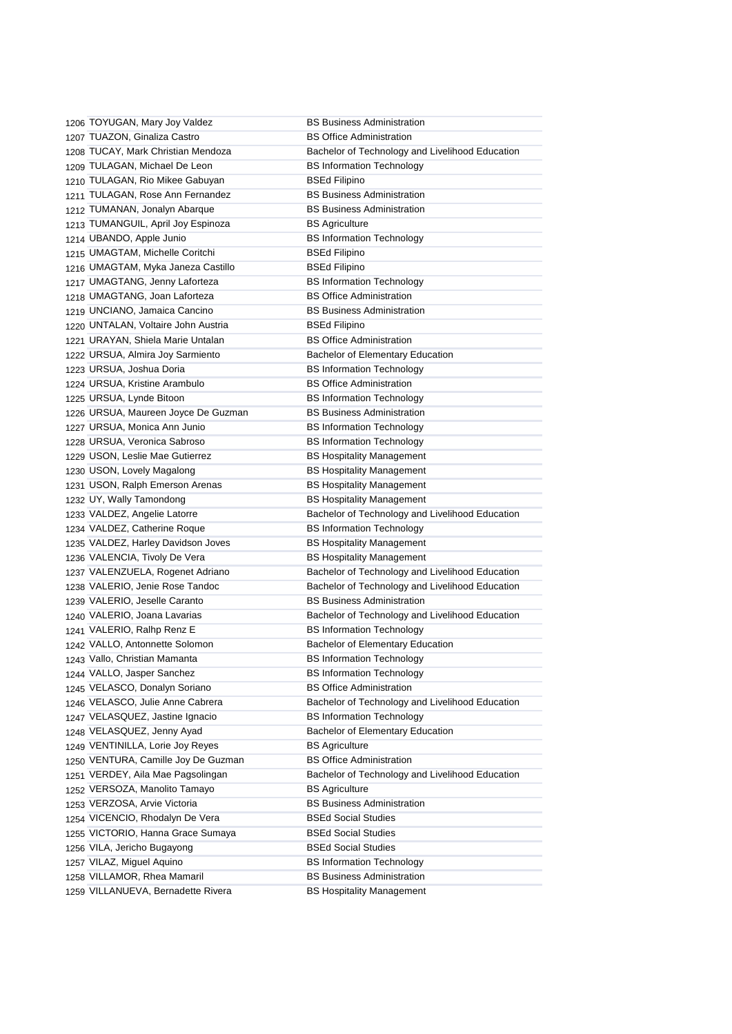1206 TOYUGAN, Mary Joy Valdez BS Business Administration 1207 TUAZON, Ginaliza Castro BS Office Administration 1208 TUCAY, Mark Christian Mendoza Bachelor of Technology and Livelihood Education 1209 TULAGAN, Michael De Leon BS Information Technology 1210 TULAGAN, Rio Mikee Gabuyan BSEd Filipino 1211 TULAGAN, Rose Ann Fernandez **BS Business Administration** 1212 TUMANAN, Jonalyn Abarque BS Business Administration 1213 TUMANGUIL, April Joy Espinoza BS Agriculture 1214 UBANDO, Apple Junio BS Information Technology 1215 UMAGTAM, Michelle Coritchi BSEd Filipino 1216 UMAGTAM, Myka Janeza Castillo BSEd Filipino 1217 UMAGTANG, Jenny Laforteza BS Information Technology 1218 UMAGTANG, Joan Laforteza BS Office Administration 1219 UNCIANO, Jamaica Cancino BS Business Administration 1220 UNTALAN, Voltaire John Austria **BSED BSED Filipino** 1221 URAYAN, Shiela Marie Untalan BS Office Administration 1222 URSUA, Almira Joy Sarmiento Bachelor of Elementary Education 1223 URSUA, Joshua Doria **BS Information Technology** 1224 URSUA, Kristine Arambulo BS Office Administration 1225 URSUA, Lynde Bitoon BS Information Technology 1226 URSUA, Maureen Joyce De Guzman BS Business Administration 1227 URSUA, Monica Ann Junio BS Information Technology 1228 URSUA, Veronica Sabroso BS Information Technology 1229 USON, Leslie Mae Gutierrez **BS Hospitality Management** 1230 USON, Lovely Magalong **BS Hospitality Management** 1231 USON, Ralph Emerson Arenas BS Hospitality Management 1232 UY, Wally Tamondong **BS Hospitality Management** 1233 VALDEZ, Angelie Latorre **Bachelor of Technology and Livelihood Education** 1234 VALDEZ, Catherine Roque BS Information Technology 1235 VALDEZ, Harley Davidson Joves BS Hospitality Management 1236 VALENCIA, Tivoly De Vera BS Hospitality Management 1237 VALENZUELA, Rogenet Adriano Bachelor of Technology and Livelihood Education 1238 VALERIO, Jenie Rose Tandoc Bachelor of Technology and Livelihood Education 1239 VALERIO, Jeselle Caranto BS Business Administration 1240 VALERIO, Joana Lavarias Bachelor of Technology and Livelihood Education 1241 VALERIO, Ralhp Renz E BS Information Technology 1242 VALLO, Antonnette Solomon Bachelor of Elementary Education 1243 Vallo, Christian Mamanta BS Information Technology 1244 VALLO, Jasper Sanchez BS Information Technology 1245 VELASCO, Donalyn Soriano BS Office Administration 1246 VELASCO, Julie Anne Cabrera Bachelor of Technology and Livelihood Education 1247 VELASQUEZ, Jastine Ignacio BS Information Technology 1248 VELASQUEZ, Jenny Ayad Bachelor of Elementary Education 1249 VENTINILLA, Lorie Joy Reyes BS Agriculture 1250 VENTURA, Camille Joy De Guzman BS Office Administration 1251 VERDEY, Aila Mae Pagsolingan Bachelor of Technology and Livelihood Education 1252 VERSOZA, Manolito Tamayo BS Agriculture 1253 VERZOSA, Arvie Victoria BS Business Administration 1254 VICENCIO, Rhodalyn De Vera BSEd Social Studies 1255 VICTORIO, Hanna Grace Sumaya BSEd Social Studies 1256 VILA, Jericho Bugayong BSEd Social Studies 1257 VILAZ, Miguel Aquino BS Information Technology 1258 VILLAMOR, Rhea Mamaril BS Business Administration 1259 VILLANUEVA, Bernadette Rivera BS Hospitality Management